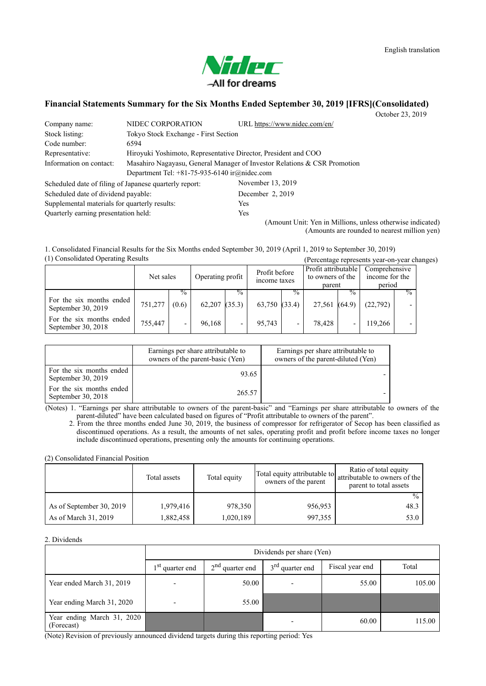

# **Financial Statements Summary for the Six Months Ended September 30, 2019 [IFRS](Consolidated)**

October 23, 2019

| Company name:                                          | NIDEC CORPORATION                                                        | URL https://www.nidec.com/en/ |  |  |  |
|--------------------------------------------------------|--------------------------------------------------------------------------|-------------------------------|--|--|--|
| Stock listing:                                         | Tokyo Stock Exchange - First Section                                     |                               |  |  |  |
| Code number:                                           | 6594                                                                     |                               |  |  |  |
| Representative:                                        | Hiroyuki Yoshimoto, Representative Director, President and COO           |                               |  |  |  |
| Information on contact:                                | Masahiro Nagayasu, General Manager of Investor Relations & CSR Promotion |                               |  |  |  |
|                                                        | Department Tel: $+81-75-935-6140$ ir $@nidec.com$                        |                               |  |  |  |
| Scheduled date of filing of Japanese quarterly report: |                                                                          | November 13, 2019             |  |  |  |
| Scheduled date of dividend payable:                    |                                                                          | December 2, 2019              |  |  |  |
| Supplemental materials for quarterly results:          |                                                                          | <b>Yes</b>                    |  |  |  |
| Quarterly earning presentation held:                   |                                                                          | <b>Yes</b>                    |  |  |  |

(Amount Unit: Yen in Millions, unless otherwise indicated) (Amounts are rounded to nearest million yen)

(1) Consolidated Operating Results (Percentage represents year-on-year changes) 1. Consolidated Financial Results for the Six Months ended September 30, 2019 (April 1, 2019 to September 30, 2019)

|                                                |           |                        |                   |               |                               |                          |                                                   |                         | $\alpha$ or comage represents $\alpha$ and $\alpha$ and $\alpha$ |               |
|------------------------------------------------|-----------|------------------------|-------------------|---------------|-------------------------------|--------------------------|---------------------------------------------------|-------------------------|------------------------------------------------------------------|---------------|
|                                                | Net sales |                        | Operating profit  |               | Profit before<br>income taxes |                          | Profit attributable<br>to owners of the<br>parent |                         | Comprehensive<br>income for the<br>period                        |               |
| For the six months ended<br>September 30, 2019 | 751,277   | $\frac{0}{0}$<br>(0.6) | $62,207$ $(35.3)$ | $\frac{0}{0}$ | $63,750$ $(33.4)$             | $\frac{0}{0}$            | 27,561                                            | $\frac{0}{0}$<br>(64.9) | (22, 792)                                                        | $\frac{9}{6}$ |
| For the six months ended<br>September 30, 2018 | 755,447   |                        | 96.168            |               | 95,743                        | $\overline{\phantom{0}}$ | 78,428                                            |                         | 19.266                                                           |               |

|                                                | Earnings per share attributable to<br>owners of the parent-basic (Yen) | Earnings per share attributable to<br>owners of the parent-diluted (Yen) |
|------------------------------------------------|------------------------------------------------------------------------|--------------------------------------------------------------------------|
| For the six months ended<br>September 30, 2019 | 93.65                                                                  |                                                                          |
| For the six months ended<br>September 30, 2018 | 265.57                                                                 |                                                                          |

(Notes) 1. "Earnings per share attributable to owners of the parent-basic" and "Earnings per share attributable to owners of the parent-diluted" have been calculated based on figures of "Profit attributable to owners of the parent".

2. From the three months ended June 30, 2019, the business of compressor for refrigerator of Secop has been classified as discontinued operations. As a result, the amounts of net sales, operating profit and profit before income taxes no longer include discontinued operations, presenting only the amounts for continuing operations.

(2) Consolidated Financial Position

|                          | Total assets | Total equity | Total equity attributable to<br>owners of the parent | Ratio of total equity<br>attributable to owners of the<br>parent to total assets |
|--------------------------|--------------|--------------|------------------------------------------------------|----------------------------------------------------------------------------------|
|                          |              |              |                                                      | $\frac{0}{0}$                                                                    |
| As of September 30, 2019 | 1,979,416    | 978,350      | 956,953                                              | 48.3                                                                             |
| As of March 31, 2019     | 1,882,458    | 1,020,189    | 997,355                                              | 53.0                                                                             |

## 2. Dividends

|                                          |                             | Dividends per share (Yen) |                             |                 |        |  |  |  |  |
|------------------------------------------|-----------------------------|---------------------------|-----------------------------|-----------------|--------|--|--|--|--|
|                                          | 1 <sup>st</sup> quarter end | $2nd$ quarter end         | 3 <sup>rd</sup> quarter end | Fiscal year end | Total  |  |  |  |  |
| Year ended March 31, 2019                | $\overline{\phantom{0}}$    | 50.00                     |                             | 55.00           | 105.00 |  |  |  |  |
| Year ending March 31, 2020               | $\overline{\phantom{0}}$    | 55.00                     |                             |                 |        |  |  |  |  |
| Year ending March 31, 2020<br>(Forecast) |                             |                           |                             | 60.00           | 115.00 |  |  |  |  |

(Note) Revision of previously announced dividend targets during this reporting period: Yes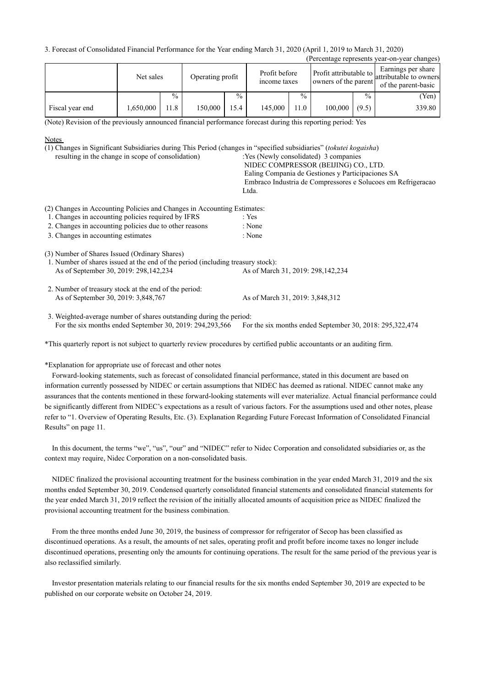3. Forecast of Consolidated Financial Performance for the Year ending March 31, 2020 (April 1, 2019 to March 31, 2020)

| (Percentage represents year-on-year changes) |           |               |                  |               |                               |               |                                                |               |                                                                     |
|----------------------------------------------|-----------|---------------|------------------|---------------|-------------------------------|---------------|------------------------------------------------|---------------|---------------------------------------------------------------------|
|                                              | Net sales |               | Operating profit |               | Profit before<br>income taxes |               | Profit attributable to<br>owners of the parent |               | Earnings per share<br>attributable to owners<br>of the parent-basic |
|                                              |           | $\frac{0}{0}$ |                  | $\frac{0}{0}$ |                               | $\frac{0}{0}$ |                                                | $\frac{0}{0}$ | (Yen)                                                               |
| Fiscal year end                              | 1,650,000 | 11.8          | 150,000          | 15.4          | 145,000                       | 11.0          | 100,000                                        | (9.5)         | 339.80                                                              |

(Note) Revision of the previously announced financial performance forecast during this reporting period: Yes

### **Notes**

(1) Changes in Significant Subsidiaries during This Period (changes in "specified subsidiaries" (*tokutei kogaisha*)

resulting in the change in scope of consolidation) : Yes (Newly consolidated) 3 companies NIDEC COMPRESSOR (BEIJING) CO., LTD. Ealing Compania de Gestiones y Participaciones SA

Embraco Industria de Compressores e Solucoes em Refrigeracao Ltda.

(2) Changes in Accounting Policies and Changes in Accounting Estimates:

- 1. Changes in accounting policies required by IFRS : Yes
- 2. Changes in accounting policies due to other reasons : None
- 3. Changes in accounting estimates : None

(3) Number of Shares Issued (Ordinary Shares)

As of September 30, 2019: 298, 142, 234 As of March 31, 2019: 298, 142, 234 1. Number of shares issued at the end of the period (including treasury stock):

As of September 30, 2019: 3,848,767 As of March 31, 2019: 3,848,312 2. Number of treasury stock at the end of the period:

For the six months ended September 30, 2019: 294, 293, 566 For the six months ended September 30, 2018: 295, 322, 474 3. Weighted-average number of shares outstanding during the period:

\*This quarterly report is not subject to quarterly review procedures by certified public accountants or an auditing firm.

\*Explanation for appropriate use of forecast and other notes

Forward-looking statements, such as forecast of consolidated financial performance, stated in this document are based on information currently possessed by NIDEC or certain assumptions that NIDEC has deemed as rational. NIDEC cannot make any assurances that the contents mentioned in these forward-looking statements will ever materialize. Actual financial performance could be significantly different from NIDEC's expectations as a result of various factors. For the assumptions used and other notes, please refer to "1. Overview of Operating Results, Etc. (3). Explanation Regarding Future Forecast Information of Consolidated Financial Results" on page 11.

In this document, the terms "we", "us", "our" and "NIDEC" refer to Nidec Corporation and consolidated subsidiaries or, as the context may require, Nidec Corporation on a non-consolidated basis.

NIDEC finalized the provisional accounting treatment for the business combination in the year ended March 31, 2019 and the six months ended September 30, 2019. Condensed quarterly consolidated financial statements and consolidated financial statements for the year ended March 31, 2019 reflect the revision of the initially allocated amounts of acquisition price as NIDEC finalized the provisional accounting treatment for the business combination.

From the three months ended June 30, 2019, the business of compressor for refrigerator of Secop has been classified as discontinued operations. As a result, the amounts of net sales, operating profit and profit before income taxes no longer include discontinued operations, presenting only the amounts for continuing operations. The result for the same period of the previous year is also reclassified similarly.

Investor presentation materials relating to our financial results for the six months ended September 30, 2019 are expected to be published on our corporate website on October 24, 2019.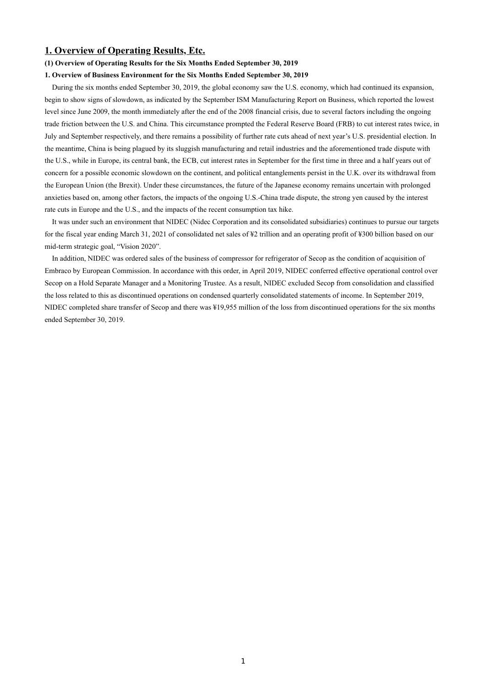## **1. Overview of Operating Results, Etc.**

### **(1) Overview of Operating Results for the Six Months Ended September 30, 2019**

### **1. Overview of Business Environment for the Six Months Ended September 30, 2019**

During the six months ended September 30, 2019, the global economy saw the U.S. economy, which had continued its expansion, begin to show signs of slowdown, as indicated by the September ISM Manufacturing Report on Business, which reported the lowest level since June 2009, the month immediately after the end of the 2008 financial crisis, due to several factors including the ongoing trade friction between the U.S. and China. This circumstance prompted the Federal Reserve Board (FRB) to cut interest rates twice, in July and September respectively, and there remains a possibility of further rate cuts ahead of next year's U.S. presidential election. In the meantime, China is being plagued by its sluggish manufacturing and retail industries and the aforementioned trade dispute with the U.S., while in Europe, its central bank, the ECB, cut interest rates in September for the first time in three and a half years out of concern for a possible economic slowdown on the continent, and political entanglements persist in the U.K. over its withdrawal from the European Union (the Brexit). Under these circumstances, the future of the Japanese economy remains uncertain with prolonged anxieties based on, among other factors, the impacts of the ongoing U.S.-China trade dispute, the strong yen caused by the interest rate cuts in Europe and the U.S., and the impacts of the recent consumption tax hike.

It was under such an environment that NIDEC (Nidec Corporation and its consolidated subsidiaries) continues to pursue our targets for the fiscal year ending March 31, 2021 of consolidated net sales of ¥2 trillion and an operating profit of ¥300 billion based on our mid-term strategic goal, "Vision 2020".

In addition, NIDEC was ordered sales of the business of compressor for refrigerator of Secop as the condition of acquisition of Embraco by European Commission. In accordance with this order, in April 2019, NIDEC conferred effective operational control over Secop on a Hold Separate Manager and a Monitoring Trustee. As a result, NIDEC excluded Secop from consolidation and classified the loss related to this as discontinued operations on condensed quarterly consolidated statements of income. In September 2019, NIDEC completed share transfer of Secop and there was ¥19,955 million of the loss from discontinued operations for the six months ended September 30, 2019.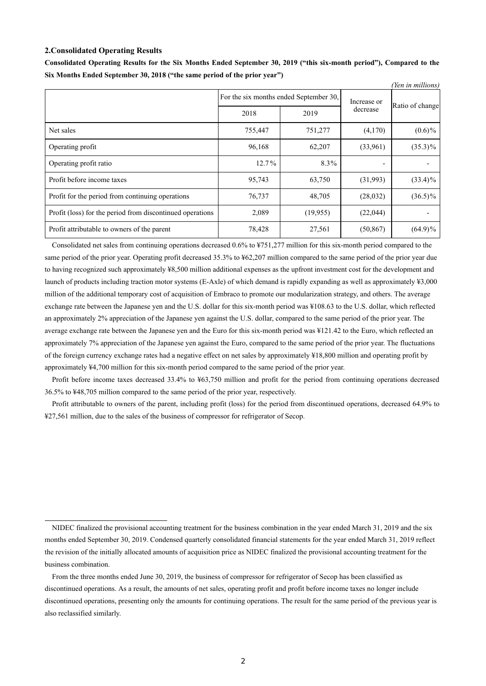### **2.Consolidated Operating Results**

|                                                           |                                        |          |                          | (Yen in millions) |
|-----------------------------------------------------------|----------------------------------------|----------|--------------------------|-------------------|
|                                                           | For the six months ended September 30, |          | Increase or              |                   |
|                                                           | 2018                                   | 2019     | decrease                 | Ratio of change   |
| Net sales                                                 | 755,447                                | 751,277  | (4,170)                  | $(0.6)\%$         |
| Operating profit                                          | 96,168                                 | 62,207   | (33,961)                 | $(35.3)\%$        |
| Operating profit ratio                                    | 12.7%                                  | 8.3%     | $\overline{\phantom{a}}$ |                   |
| Profit before income taxes                                | 95,743                                 | 63,750   | (31,993)                 | $(33.4)\%$        |
| Profit for the period from continuing operations          | 76,737                                 | 48,705   | (28,032)                 | $(36.5)\%$        |
| Profit (loss) for the period from discontinued operations | 2,089                                  | (19,955) | (22,044)                 |                   |
| Profit attributable to owners of the parent               | 78,428                                 | 27,561   | (50, 867)                | $(64.9)\%$        |

**Consolidated Operating Results for the Six Months Ended September 30, 2019 ("this six-month period"), Compared to the Six Months Ended September 30, 2018 ("the same period of the prior year")**

Consolidated net sales from continuing operations decreased 0.6% to ¥751,277 million for this six-month period compared to the same period of the prior year. Operating profit decreased 35.3% to  $\frac{1}{2}62,207$  million compared to the same period of the prior year due to having recognized such approximately ¥8,500 million additional expenses as the upfront investment cost for the development and launch of products including traction motor systems (E-Axle) of which demand is rapidly expanding as well as approximately ¥3,000 million of the additional temporary cost of acquisition of Embraco to promote our modularization strategy, and others. The average exchange rate between the Japanese yen and the U.S. dollar for this six-month period was ¥108.63 to the U.S. dollar, which reflected an approximately 2% appreciation of the Japanese yen against the U.S. dollar, compared to the same period of the prior year. The average exchange rate between the Japanese yen and the Euro for this six-month period was ¥121.42 to the Euro, which reflected an approximately 7% appreciation of the Japanese yen against the Euro, compared to the same period of the prior year. The fluctuations of the foreign currency exchange rates had a negative effect on net sales by approximately ¥18,800 million and operating profit by approximately ¥4,700 million for this six-month period compared to the same period of the prior year.

Profit before income taxes decreased 33.4% to  $\frac{1}{2}63,750$  million and profit for the period from continuing operations decreased 36.5% to ¥48,705 million compared to the same period of the prior year, respectively.

Profit attributable to owners of the parent, including profit (loss) for the period from discontinued operations, decreased 64.9% to ¥27,561 million, due to the sales of the business of compressor for refrigerator of Secop.

NIDEC finalized the provisional accounting treatment for the business combination in the year ended March 31, 2019 and the six months ended September 30, 2019. Condensed quarterly consolidated financial statements for the year ended March 31, 2019 reflect the revision of the initially allocated amounts of acquisition price as NIDEC finalized the provisional accounting treatment for the business combination.

From the three months ended June 30, 2019, the business of compressor for refrigerator of Secop has been classified as discontinued operations. As a result, the amounts of net sales, operating profit and profit before income taxes no longer include discontinued operations, presenting only the amounts for continuing operations. The result for the same period of the previous year is also reclassified similarly.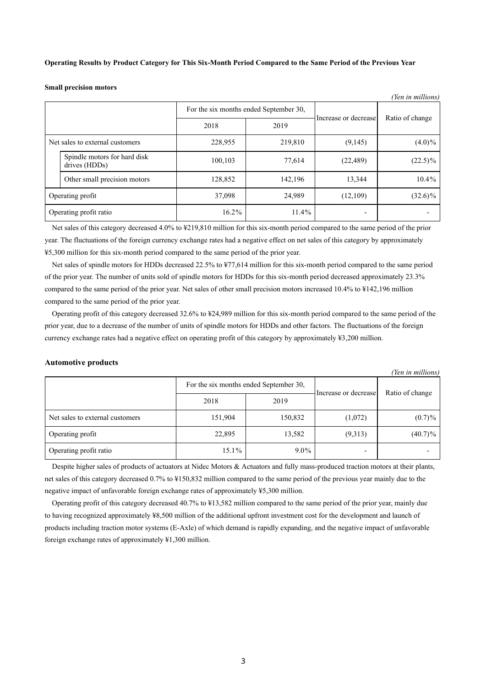**Operating Results by Product Category for This Six-Month Period Compared to the Same Period of the Previous Year**

**Small precision motors**

| <i>ren in munions)</i> |                                               |          |                                        |                          |                 |
|------------------------|-----------------------------------------------|----------|----------------------------------------|--------------------------|-----------------|
|                        |                                               |          | For the six months ended September 30, | Increase or decrease     | Ratio of change |
|                        |                                               | 2018     | 2019                                   |                          |                 |
|                        | Net sales to external customers               | 228,955  | 219,810                                | (9,145)                  | $(4.0)\%$       |
|                        | Spindle motors for hard disk<br>drives (HDDs) | 100,103  | 77,614                                 | (22, 489)                | $(22.5)\%$      |
|                        | Other small precision motors                  | 128,852  | 142,196                                | 13,344                   | 10.4%           |
| Operating profit       |                                               | 37,098   | 24,989                                 | (12,109)                 | $(32.6)\%$      |
| Operating profit ratio |                                               | $16.2\%$ | $11.4\%$                               | $\overline{\phantom{0}}$ |                 |

 $\overline{y}$  in  $\overline{y}$ 

Net sales of this category decreased 4.0% to ¥219,810 million for this six-month period compared to the same period of the prior year. The fluctuations of the foreign currency exchange rates had a negative effect on net sales of this category by approximately ¥5,300 million for this six-month period compared to the same period of the prior year.

Net sales of spindle motors for HDDs decreased 22.5% to ¥77,614 million for this six-month period compared to the same period of the prior year. The number of units sold of spindle motors for HDDs for this six-month period decreased approximately 23.3% compared to the same period of the prior year. Net sales of other small precision motors increased 10.4% to ¥142,196 million compared to the same period of the prior year.

Operating profit of this category decreased 32.6% to ¥24,989 million for this six-month period compared to the same period of the prior year, due to a decrease of the number of units of spindle motors for HDDs and other factors. The fluctuations of the foreign currency exchange rates had a negative effect on operating profit of this category by approximately ¥3,200 million.

### **Automotive products**

|                                 |                                        |         |                      | (Yen in millions) |
|---------------------------------|----------------------------------------|---------|----------------------|-------------------|
|                                 | For the six months ended September 30, |         |                      | Ratio of change   |
|                                 | 2018                                   | 2019    | Increase or decrease |                   |
| Net sales to external customers | 151,904                                | 150,832 | (1,072)              | (0.7)%            |
| Operating profit                | 22,895                                 | 13,582  | (9,313)              | $(40.7)\%$        |
| Operating profit ratio          | 15.1%                                  | $9.0\%$ |                      |                   |

Despite higher sales of products of actuators at Nidec Motors & Actuators and fully mass-produced traction motors at their plants, net sales of this category decreased 0.7% to ¥150,832 million compared to the same period of the previous year mainly due to the negative impact of unfavorable foreign exchange rates of approximately ¥5,300 million.

Operating profit of this category decreased 40.7% to ¥13,582 million compared to the same period of the prior year, mainly due to having recognized approximately ¥8,500 million of the additional upfront investment cost for the development and launch of products including traction motor systems (E-Axle) of which demand is rapidly expanding, and the negative impact of unfavorable foreign exchange rates of approximately ¥1,300 million.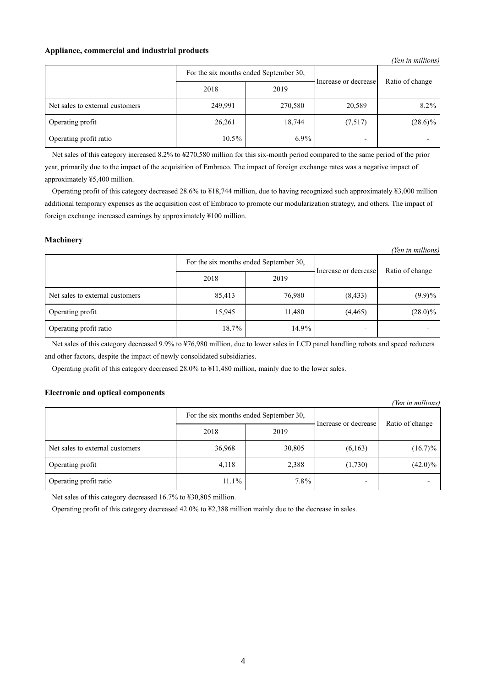## **Appliance, commercial and industrial products**

|                                 |                                        |         |                      | (Yen in millions) |
|---------------------------------|----------------------------------------|---------|----------------------|-------------------|
|                                 | For the six months ended September 30, |         |                      | Ratio of change   |
|                                 | 2018                                   | 2019    | Increase or decrease |                   |
| Net sales to external customers | 249,991                                | 270,580 | 20,589               | $8.2\%$           |
| Operating profit                | 26,261                                 | 18,744  | (7,517)              | $(28.6)\%$        |
| Operating profit ratio          | $10.5\%$                               | $6.9\%$ |                      |                   |

Net sales of this category increased 8.2% to ¥270,580 million for this six-month period compared to the same period of the prior year, primarily due to the impact of the acquisition of Embraco. The impact of foreign exchange rates was a negative impact of approximately ¥5,400 million.

Operating profit of this category decreased 28.6% to ¥18,744 million, due to having recognized such approximately ¥3,000 million additional temporary expenses as the acquisition cost of Embraco to promote our modularization strategy, and others. The impact of foreign exchange increased earnings by approximately ¥100 million.

*(Yen in millions)*

## **Machinery**

| ren in muuons)                  |                                        |        |                      |                 |  |  |  |
|---------------------------------|----------------------------------------|--------|----------------------|-----------------|--|--|--|
|                                 | For the six months ended September 30, |        | Increase or decrease | Ratio of change |  |  |  |
|                                 | 2018                                   | 2019   |                      |                 |  |  |  |
| Net sales to external customers | 85,413                                 | 76,980 | (8, 433)             | $(9.9)\%$       |  |  |  |
| Operating profit                | 15,945                                 | 11,480 | (4, 465)             | $(28.0)\%$      |  |  |  |
| Operating profit ratio          | 18.7%                                  | 14.9%  |                      |                 |  |  |  |

Net sales of this category decreased 9.9% to ¥76,980 million, due to lower sales in LCD panel handling robots and speed reducers and other factors, despite the impact of newly consolidated subsidiaries.

Operating profit of this category decreased 28.0% to ¥11,480 million, mainly due to the lower sales.

## **Electronic and optical components**

|                                 |                                        |         |                      | (Yen in millions) |
|---------------------------------|----------------------------------------|---------|----------------------|-------------------|
|                                 | For the six months ended September 30, |         | Increase or decrease | Ratio of change   |
|                                 | 2018                                   | 2019    |                      |                   |
| Net sales to external customers | 36,968                                 | 30,805  | (6,163)              | $(16.7)\%$        |
| Operating profit                | 4,118                                  | 2,388   | (1,730)              | $(42.0)\%$        |
| Operating profit ratio          | $11.1\%$                               | $7.8\%$ |                      |                   |

Net sales of this category decreased 16.7% to ¥30,805 million.

Operating profit of this category decreased 42.0% to ¥2,388 million mainly due to the decrease in sales.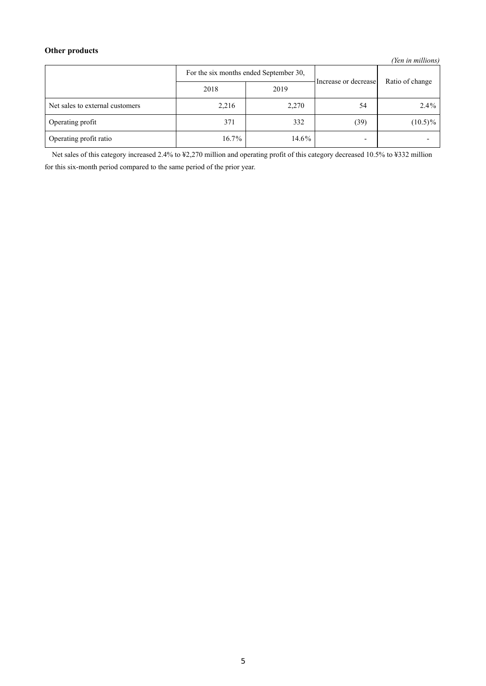# **Other products**

*(Yen in millions)*

|                                 | For the six months ended September 30, |       | Increase or decrease     | Ratio of change |
|---------------------------------|----------------------------------------|-------|--------------------------|-----------------|
|                                 | 2018                                   | 2019  |                          |                 |
| Net sales to external customers | 2,216                                  | 2,270 | 54                       | $2.4\%$         |
| Operating profit                | 371                                    | 332   | (39)                     | $(10.5)\%$      |
| Operating profit ratio          | $16.7\%$                               | 14.6% | $\overline{\phantom{0}}$ |                 |

Net sales of this category increased 2.4% to ¥2,270 million and operating profit of this category decreased 10.5% to ¥332 million for this six-month period compared to the same period of the prior year.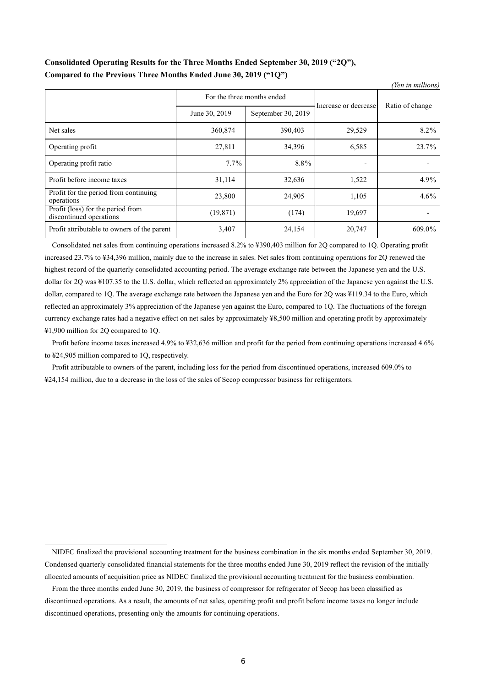# **Consolidated Operating Results for the Three Months Ended September 30, 2019 ("2Q"), Compared to the Previous Three Months Ended June 30, 2019 ("1Q")**

| (Yen in millions)                                            |                            |                    |                      |                 |  |
|--------------------------------------------------------------|----------------------------|--------------------|----------------------|-----------------|--|
|                                                              | For the three months ended |                    | Increase or decrease | Ratio of change |  |
|                                                              | June 30, 2019              | September 30, 2019 |                      |                 |  |
| Net sales                                                    | 360,874                    | 390,403            | 29,529               | 8.2%            |  |
| Operating profit                                             | 27,811                     | 34,396             | 6,585                | 23.7%           |  |
| Operating profit ratio                                       | $7.7\%$                    | 8.8%               |                      |                 |  |
| Profit before income taxes                                   | 31,114                     | 32,636             | 1,522                | 4.9%            |  |
| Profit for the period from continuing<br>operations          | 23,800                     | 24,905             | 1,105                | 4.6%            |  |
| Profit (loss) for the period from<br>discontinued operations | (19, 871)                  | (174)              | 19,697               |                 |  |
| Profit attributable to owners of the parent                  | 3,407                      | 24,154             | 20,747               | 609.0%          |  |

Consolidated net sales from continuing operations increased 8.2% to ¥390,403 million for 2Q compared to 1Q. Operating profit increased 23.7% to ¥34,396 million, mainly due to the increase in sales. Net sales from continuing operations for 2Q renewed the highest record of the quarterly consolidated accounting period. The average exchange rate between the Japanese yen and the U.S. dollar for 2Q was ¥107.35 to the U.S. dollar, which reflected an approximately 2% appreciation of the Japanese yen against the U.S. dollar, compared to 1Q. The average exchange rate between the Japanese yen and the Euro for 2Q was ¥119.34 to the Euro, which reflected an approximately 3% appreciation of the Japanese yen against the Euro, compared to 1Q. The fluctuations of the foreign currency exchange rates had a negative effect on net sales by approximately ¥8,500 million and operating profit by approximately ¥1,900 million for 2Q compared to 1Q.

Profit before income taxes increased 4.9% to ¥32,636 million and profit for the period from continuing operations increased 4.6% to ¥24,905 million compared to 1Q, respectively.

Profit attributable to owners of the parent, including loss for the period from discontinued operations, increased 609.0% to ¥24,154 million, due to a decrease in the loss of the sales of Secop compressor business for refrigerators.

NIDEC finalized the provisional accounting treatment for the business combination in the six months ended September 30, 2019. Condensed quarterly consolidated financial statements for the three months ended June 30, 2019 reflect the revision of the initially allocated amounts of acquisition price as NIDEC finalized the provisional accounting treatment for the business combination.

From the three months ended June 30, 2019, the business of compressor for refrigerator of Secop has been classified as discontinued operations. As a result, the amounts of net sales, operating profit and profit before income taxes no longer include discontinued operations, presenting only the amounts for continuing operations.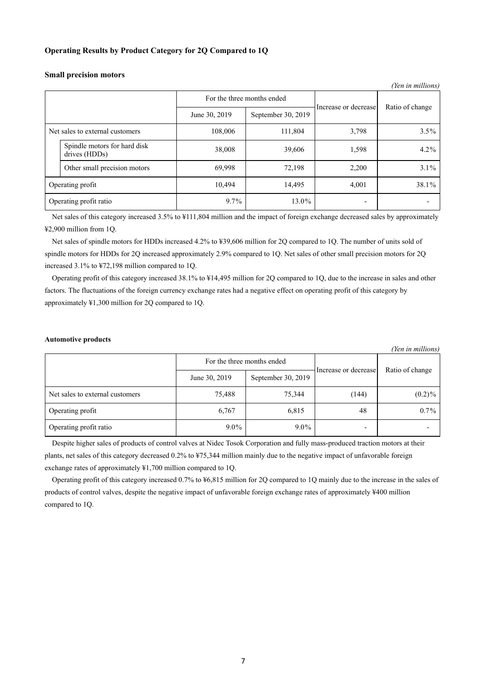## **Operating Results by Product Category for 2Q Compared to 1Q**

| (Yen in millions) |                                               |               |                      |       |                 |
|-------------------|-----------------------------------------------|---------------|----------------------|-------|-----------------|
|                   | For the three months ended                    |               | Increase or decrease |       |                 |
|                   |                                               | June 30, 2019 | September 30, 2019   |       | Ratio of change |
|                   | Net sales to external customers               | 108,006       | 111,804              | 3,798 | 3.5%            |
|                   | Spindle motors for hard disk<br>drives (HDDs) | 38,008        | 39,606               | 1,598 | $4.2\%$         |
|                   | Other small precision motors                  | 69,998        | 72,198               | 2,200 | $3.1\%$         |
|                   | Operating profit                              | 10,494        | 14,495               | 4,001 | 38.1%           |
|                   | Operating profit ratio                        | 9.7%          | 13.0%                |       |                 |

### **Small precision motors**

Net sales of this category increased 3.5% to ¥111,804 million and the impact of foreign exchange decreased sales by approximately ¥2,900 million from 1Q.

Net sales of spindle motors for HDDs increased 4.2% to ¥39,606 million for 2Q compared to 1Q. The number of units sold of spindle motors for HDDs for 2Q increased approximately 2.9% compared to 1Q. Net sales of other small precision motors for 2Q increased 3.1% to ¥72,198 million compared to 1Q.

Operating profit of this category increased 38.1% to ¥14,495 million for 2Q compared to 1Q, due to the increase in sales and other factors. The fluctuations of the foreign currency exchange rates had a negative effect on operating profit of this category by approximately ¥1,300 million for 2Q compared to 1Q.

### **Automotive products**

*(Yen in millions)*

|                                 | For the three months ended |                    | Increase or decrease     |                 |
|---------------------------------|----------------------------|--------------------|--------------------------|-----------------|
|                                 | June 30, 2019              | September 30, 2019 |                          | Ratio of change |
| Net sales to external customers | 75,488                     | 75,344             | (144)                    | $(0.2)\%$       |
| Operating profit                | 6,767                      | 6,815              | 48                       | $0.7\%$         |
| Operating profit ratio          | $9.0\%$                    | $9.0\%$            | $\overline{\phantom{0}}$ |                 |

Despite higher sales of products of control valves at Nidec Tosok Corporation and fully mass-produced traction motors at their plants, net sales of this category decreased 0.2% to ¥75,344 million mainly due to the negative impact of unfavorable foreign exchange rates of approximately ¥1,700 million compared to 1Q.

Operating profit of this category increased 0.7% to ¥6,815 million for 2Q compared to 1Q mainly due to the increase in the sales of products of control valves, despite the negative impact of unfavorable foreign exchange rates of approximately ¥400 million compared to 1Q.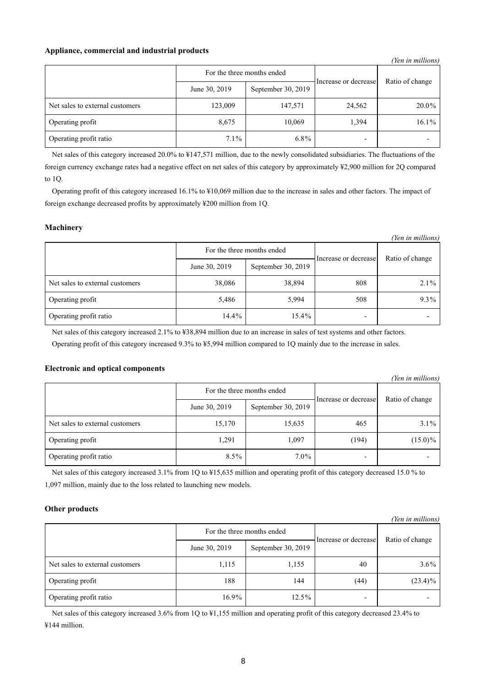## **Appliance, commercial and industrial products**

|                                 |                                     |         |                      | (Yen in millions) |
|---------------------------------|-------------------------------------|---------|----------------------|-------------------|
|                                 | For the three months ended          |         | Increase or decrease | Ratio of change   |
|                                 | September 30, 2019<br>June 30, 2019 |         |                      |                   |
| Net sales to external customers | 123,009                             | 147,571 | 24,562               | 20.0%             |
| Operating profit                | 8,675                               | 10,069  | 1,394                | $16.1\%$          |
| Operating profit ratio          | $7.1\%$                             | $6.8\%$ |                      |                   |

Net sales of this category increased 20.0% to ¥147,571 million, due to the newly consolidated subsidiaries. The fluctuations of the foreign currency exchange rates had a negative effect on net sales of this category by approximately ¥2,900 million for 2Q compared to 1Q.

Operating profit of this category increased 16.1% to ¥10,069 million due to the increase in sales and other factors. The impact of foreign exchange decreased profits by approximately ¥200 million from 1Q.

## **Machinery**

| (Yen in millions)               |                            |                    |                      |                 |  |
|---------------------------------|----------------------------|--------------------|----------------------|-----------------|--|
|                                 | For the three months ended |                    | Increase or decrease |                 |  |
|                                 | June 30, 2019              | September 30, 2019 |                      | Ratio of change |  |
| Net sales to external customers | 38,086                     | 38,894             | 808                  | $2.1\%$         |  |
| Operating profit                | 5,486                      | 5,994              | 508                  | $9.3\%$         |  |
| Operating profit ratio          | $14.4\%$                   | 15.4%              |                      |                 |  |

Net sales of this category increased 2.1% to ¥38,894 million due to an increase in sales of test systems and other factors.

Operating profit of this category increased 9.3% to ¥5,994 million compared to 1Q mainly due to the increase in sales.

## **Electronic and optical components**

| (Yen in millions)               |                            |                    |                      |                 |  |
|---------------------------------|----------------------------|--------------------|----------------------|-----------------|--|
|                                 | For the three months ended |                    | Increase or decrease | Ratio of change |  |
|                                 | June 30, 2019              | September 30, 2019 |                      |                 |  |
| Net sales to external customers | 15,170                     | 15,635             | 465                  | $3.1\%$         |  |
| Operating profit                | 1,291                      | 1,097              | (194)                | $(15.0)\%$      |  |
| Operating profit ratio          | $8.5\%$                    | $7.0\%$            |                      |                 |  |

Net sales of this category increased 3.1% from 1Q to ¥15,635 million and operating profit of this category decreased 15.0 % to 1,097 million, mainly due to the loss related to launching new models.

## **Other products**

| (Yen in millions)               |                            |                    |                          |                 |  |
|---------------------------------|----------------------------|--------------------|--------------------------|-----------------|--|
|                                 | For the three months ended |                    | Increase or decrease     | Ratio of change |  |
|                                 | June 30, 2019              | September 30, 2019 |                          |                 |  |
| Net sales to external customers | 1,115                      | 1,155              | 40                       | $3.6\%$         |  |
| Operating profit                | 188                        | 144                | (44)                     | $(23.4)\%$      |  |
| Operating profit ratio          | $16.9\%$                   | $12.5\%$           | $\overline{\phantom{0}}$ |                 |  |

Net sales of this category increased 3.6% from 1Q to ¥1,155 million and operating profit of this category decreased 23.4% to ¥144 million.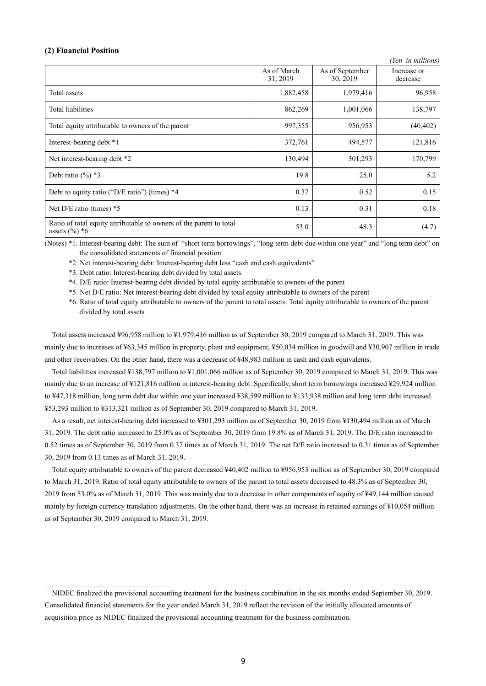### **(2) Financial Position**

|                                                                                         |                         |                             | (Yen in millions)       |
|-----------------------------------------------------------------------------------------|-------------------------|-----------------------------|-------------------------|
|                                                                                         | As of March<br>31, 2019 | As of September<br>30, 2019 | Increase or<br>decrease |
| Total assets                                                                            | 1,882,458               | 1,979,416                   | 96,958                  |
| <b>Total liabilities</b>                                                                | 862,269                 | 1,001,066                   | 138,797                 |
| Total equity attributable to owners of the parent                                       | 997,355                 | 956,953                     | (40, 402)               |
| Interest-bearing debt *1                                                                | 372,761                 | 494,577                     | 121,816                 |
| Net interest-bearing debt *2                                                            | 130,494                 | 301,293                     | 170,799                 |
| Debt ratio $(\%)$ *3                                                                    | 19.8                    | 25.0                        | 5.2                     |
| Debt to equity ratio ("D/E ratio") (times) *4                                           | 0.37                    | 0.52                        | 0.15                    |
| Net $D/E$ ratio (times) $*5$                                                            | 0.13                    | 0.31                        | 0.18                    |
| Ratio of total equity attributable to owners of the parent to total<br>assets $(\%)^*6$ | 53.0                    | 48.3                        | (4.7)                   |

(Notes) \*1. Interest-bearing debt: The sum of "short term borrowings", "long term debt due within one year" and "long term debt" on the consolidated statements of financial position

\*2. Net interest-bearing debt: Interest-bearing debt less "cash and cash equivalents"

\*3. Debt ratio: Interest-bearing debt divided by total assets

\*4. D/E ratio: Interest-bearing debt divided by total equity attributable to owners of the parent

\*5. Net D/E ratio: Net interest-bearing debt divided by total equity attributable to owners of the parent

\*6. Ratio of total equity attributable to owners of the parent to total assets: Total equity attributable to owners of the parent divided by total assets

Total assets increased ¥96,958 million to ¥1,979,416 million as of September 30, 2019 compared to March 31, 2019. This was mainly due to increases of ¥63,345 million in property, plant and equipment, ¥50,034 million in goodwill and ¥30,907 million in trade and other receivables. On the other hand, there was a decrease of ¥48,983 million in cash and cash equivalents.

Total liabilities increased ¥138,797 million to ¥1,001,066 million as of September 30, 2019 compared to March 31, 2019. This was mainly due to an increase of ¥121,816 million in interest-bearing debt. Specifically, short term borrowings increased ¥29,924 million to ¥47,318 million, long term debt due within one year increased ¥38,599 million to ¥133,938 million and long term debt increased ¥53,293 million to ¥313,321 million as of September 30, 2019 compared to March 31, 2019.

As a result, net interest-bearing debt increased to ¥301,293 million as of September 30, 2019 from ¥130,494 million as of March 31, 2019. The debt ratio increased to 25.0% as of September 30, 2019 from 19.8% as of March 31, 2019. The D/E ratio increased to 0.52 times as of September 30, 2019 from 0.37 times as of March 31, 2019. The net D/E ratio increased to 0.31 times as of September 30, 2019 from 0.13 times as of March 31, 2019.

Total equity attributable to owners of the parent decreased ¥40,402 million to ¥956,953 million as of September 30, 2019 compared to March 31, 2019. Ratio of total equity attributable to owners of the parent to total assets decreased to 48.3% as of September 30, 2019 from 53.0% as of March 31, 2019. This was mainly due to a decrease in other components of equity of ¥49,144 million caused mainly by foreign currency translation adjustments. On the other hand, there was an increase in retained earnings of ¥10,054 million as of September 30, 2019 compared to March 31, 2019.

NIDEC finalized the provisional accounting treatment for the business combination in the six months ended September 30, 2019. Consolidated financial statements for the year ended March 31, 2019 reflect the revision of the initially allocated amounts of acquisition price as NIDEC finalized the provisional accounting treatment for the business combination.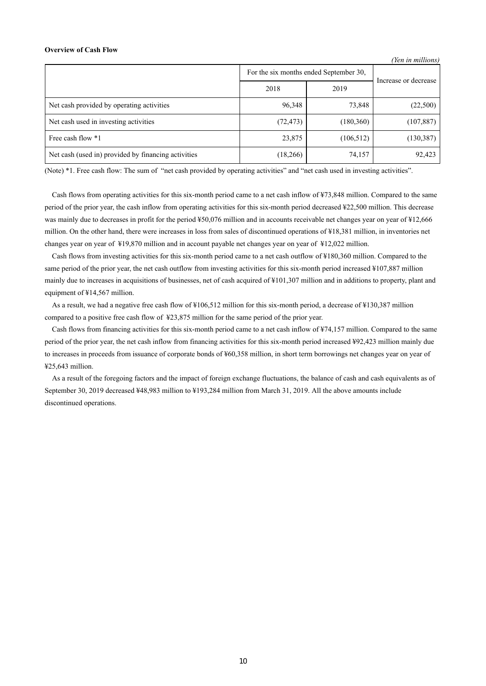#### **Overview of Cash Flow**

|                                                     |                                        |            | (Yen in millions)    |
|-----------------------------------------------------|----------------------------------------|------------|----------------------|
|                                                     | For the six months ended September 30, |            | Increase or decrease |
|                                                     | 2018                                   | 2019       |                      |
| Net cash provided by operating activities           | 96.348                                 | 73,848     | (22,500)             |
| Net cash used in investing activities               | (72, 473)                              | (180, 360) | (107, 887)           |
| Free cash flow *1                                   | 23,875                                 | (106, 512) | (130, 387)           |
| Net cash (used in) provided by financing activities | (18,266)                               | 74,157     | 92,423               |

(Note) \*1. Free cash flow: The sum of "net cash provided by operating activities" and "net cash used in investing activities".

Cash flows from operating activities for this six-month period came to a net cash inflow of ¥73,848 million. Compared to the same period of the prior year, the cash inflow from operating activities for this six-month period decreased ¥22,500 million. This decrease was mainly due to decreases in profit for the period ¥50,076 million and in accounts receivable net changes year on year of ¥12,666 million. On the other hand, there were increases in loss from sales of discontinued operations of ¥18,381 million, in inventories net changes year on year of ¥19,870 million and in account payable net changes year on year of ¥12,022 million.

Cash flows from investing activities for this six-month period came to a net cash outflow of ¥180,360 million. Compared to the same period of the prior year, the net cash outflow from investing activities for this six-month period increased ¥107,887 million mainly due to increases in acquisitions of businesses, net of cash acquired of ¥101,307 million and in additions to property, plant and equipment of ¥14,567 million.

As a result, we had a negative free cash flow of ¥106,512 million for this six-month period, a decrease of ¥130,387 million compared to a positive free cash flow of ¥23,875 million for the same period of the prior year.

Cash flows from financing activities for this six-month period came to a net cash inflow of ¥74,157 million. Compared to the same period of the prior year, the net cash inflow from financing activities for this six-month period increased ¥92,423 million mainly due to increases in proceeds from issuance of corporate bonds of ¥60,358 million, in short term borrowings net changes year on year of ¥25,643 million.

As a result of the foregoing factors and the impact of foreign exchange fluctuations, the balance of cash and cash equivalents as of September 30, 2019 decreased ¥48,983 million to ¥193,284 million from March 31, 2019. All the above amounts include discontinued operations.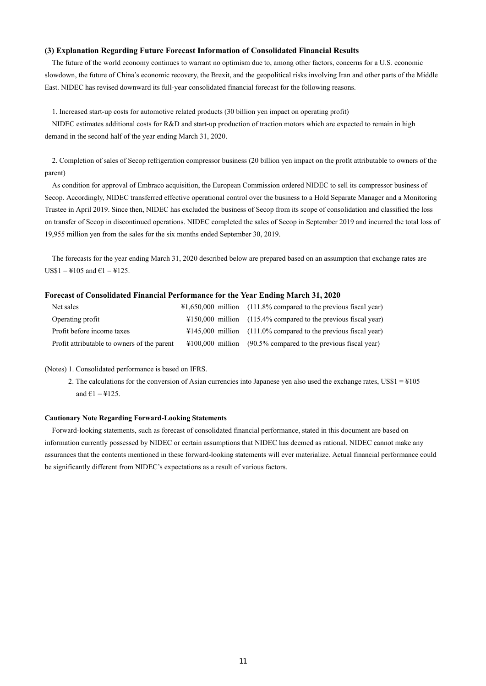### **(3) Explanation Regarding Future Forecast Information of Consolidated Financial Results**

The future of the world economy continues to warrant no optimism due to, among other factors, concerns for a U.S. economic slowdown, the future of China's economic recovery, the Brexit, and the geopolitical risks involving Iran and other parts of the Middle East. NIDEC has revised downward its full-year consolidated financial forecast for the following reasons.

1. Increased start-up costs for automotive related products (30 billion yen impact on operating profit)

NIDEC estimates additional costs for R&D and start-up production of traction motors which are expected to remain in high demand in the second half of the year ending March 31, 2020.

2. Completion of sales of Secop refrigeration compressor business (20 billion yen impact on the profit attributable to owners of the parent)

As condition for approval of Embraco acquisition, the European Commission ordered NIDEC to sell its compressor business of Secop. Accordingly, NIDEC transferred effective operational control over the business to a Hold Separate Manager and a Monitoring Trustee in April 2019. Since then, NIDEC has excluded the business of Secop from its scope of consolidation and classified the loss on transfer of Secop in discontinued operations. NIDEC completed the sales of Secop in September 2019 and incurred the total loss of 19,955 million yen from the sales for the six months ended September 30, 2019.

The forecasts for the year ending March 31, 2020 described below are prepared based on an assumption that exchange rates are  $USS1 = 4105$  and  $61 = 4125$ .

#### **Forecast of Consolidated Financial Performance for the Year Ending March 31, 2020**

| Net sales                                   | $\text{\#1,650,000}$ million (111.8% compared to the previous fiscal year) |
|---------------------------------------------|----------------------------------------------------------------------------|
| Operating profit                            | $\text{\#150,000}$ million (115.4% compared to the previous fiscal year)   |
| Profit before income taxes                  | $\text{\#145,000}$ million (111.0% compared to the previous fiscal year)   |
| Profit attributable to owners of the parent | $\text{\#100,000}$ million (90.5% compared to the previous fiscal year)    |

(Notes) 1. Consolidated performance is based on IFRS.

2. The calculations for the conversion of Asian currencies into Japanese yen also used the exchange rates,  $USS1 = 4105$ and  $\epsilon$ 1 = ¥125.

#### **Cautionary Note Regarding Forward-Looking Statements**

Forward-looking statements, such as forecast of consolidated financial performance, stated in this document are based on information currently possessed by NIDEC or certain assumptions that NIDEC has deemed as rational. NIDEC cannot make any assurances that the contents mentioned in these forward-looking statements will ever materialize. Actual financial performance could be significantly different from NIDEC's expectations as a result of various factors.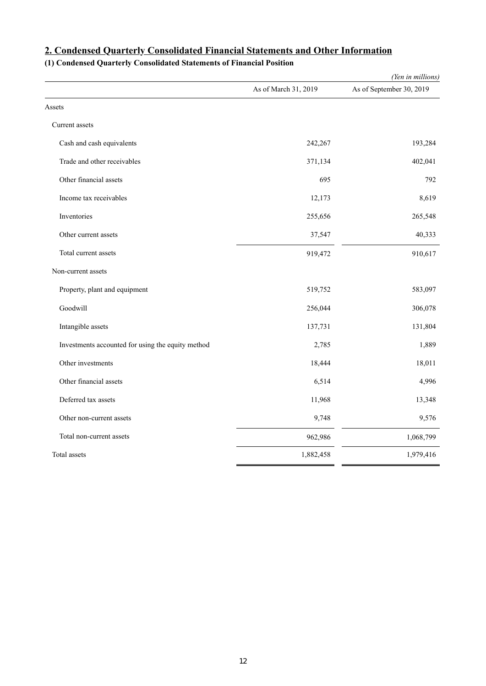|                                                   |                      | (Yen in millions)        |
|---------------------------------------------------|----------------------|--------------------------|
|                                                   | As of March 31, 2019 | As of September 30, 2019 |
| Assets                                            |                      |                          |
| Current assets                                    |                      |                          |
| Cash and cash equivalents                         | 242,267              | 193,284                  |
| Trade and other receivables                       | 371,134              | 402,041                  |
| Other financial assets                            | 695                  | 792                      |
| Income tax receivables                            | 12,173               | 8,619                    |
| Inventories                                       | 255,656              | 265,548                  |
| Other current assets                              | 37,547               | 40,333                   |
| Total current assets                              | 919,472              | 910,617                  |
| Non-current assets                                |                      |                          |
| Property, plant and equipment                     | 519,752              | 583,097                  |
| Goodwill                                          | 256,044              | 306,078                  |
| Intangible assets                                 | 137,731              | 131,804                  |
| Investments accounted for using the equity method | 2,785                | 1,889                    |
| Other investments                                 | 18,444               | 18,011                   |
| Other financial assets                            | 6,514                | 4,996                    |
| Deferred tax assets                               | 11,968               | 13,348                   |
| Other non-current assets                          | 9,748                | 9,576                    |
| Total non-current assets                          | 962,986              | 1,068,799                |
| Total assets                                      | 1,882,458            | 1,979,416                |

# **2. Condensed Quarterly Consolidated Financial Statements and Other Information**

# **(1) Condensed Quarterly Consolidated Statements of Financial Position**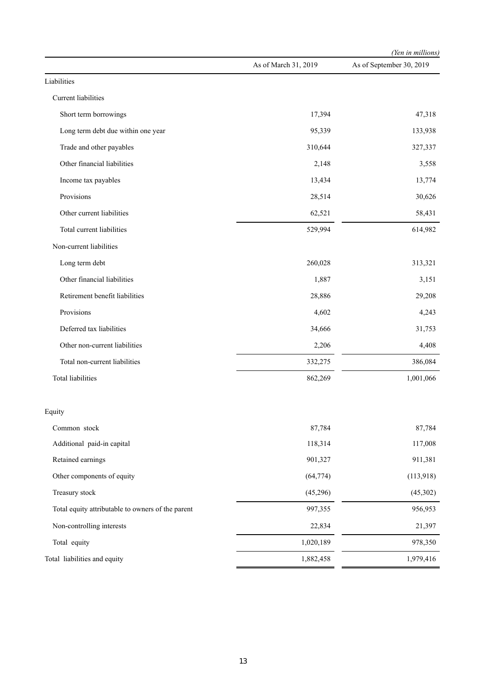|                                                   |                      | (Yen in millions)        |
|---------------------------------------------------|----------------------|--------------------------|
|                                                   | As of March 31, 2019 | As of September 30, 2019 |
| Liabilities                                       |                      |                          |
| Current liabilities                               |                      |                          |
| Short term borrowings                             | 17,394               | 47,318                   |
| Long term debt due within one year                | 95,339               | 133,938                  |
| Trade and other payables                          | 310,644              | 327,337                  |
| Other financial liabilities                       | 2,148                | 3,558                    |
| Income tax payables                               | 13,434               | 13,774                   |
| Provisions                                        | 28,514               | 30,626                   |
| Other current liabilities                         | 62,521               | 58,431                   |
| Total current liabilities                         | 529,994              | 614,982                  |
| Non-current liabilities                           |                      |                          |
| Long term debt                                    | 260,028              | 313,321                  |
| Other financial liabilities                       | 1,887                | 3,151                    |
| Retirement benefit liabilities                    | 28,886               | 29,208                   |
| Provisions                                        | 4,602                | 4,243                    |
| Deferred tax liabilities                          | 34,666               | 31,753                   |
| Other non-current liabilities                     | 2,206                | 4,408                    |
| Total non-current liabilities                     | 332,275              | 386,084                  |
| Total liabilities                                 | 862,269              | 1,001,066                |
| Equity                                            |                      |                          |
| Common stock                                      | 87,784               | 87,784                   |
| Additional paid-in capital                        | 118,314              | 117,008                  |
| Retained earnings                                 | 901,327              | 911,381                  |
| Other components of equity                        | (64, 774)            | (113,918)                |
| Treasury stock                                    | (45,296)             | (45,302)                 |
| Total equity attributable to owners of the parent | 997,355              | 956,953                  |
| Non-controlling interests                         | 22,834               | 21,397                   |
| Total equity                                      | 1,020,189            | 978,350                  |
| Total liabilities and equity                      | 1,882,458            | 1,979,416                |
|                                                   |                      |                          |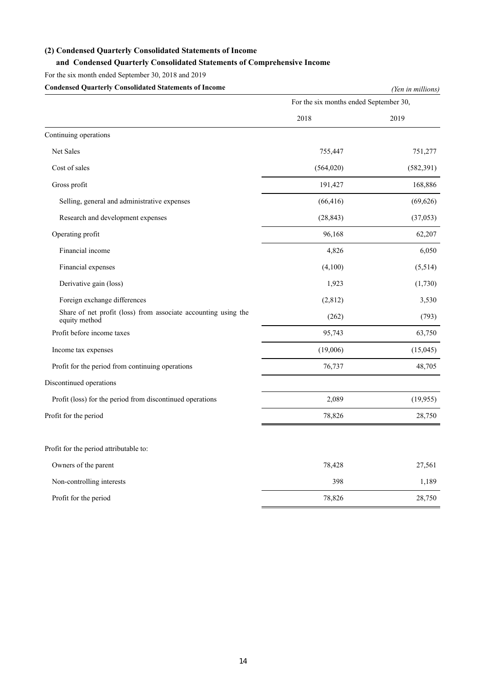# **(2) Condensed Quarterly Consolidated Statements of Income**

# **and Condensed Quarterly Consolidated Statements of Comprehensive Income**

For the six month ended September 30, 2018 and 2019

| <b>Condensed Quarterly Consolidated Statements of Income</b>                    | (Yen in millions)                      |            |  |
|---------------------------------------------------------------------------------|----------------------------------------|------------|--|
|                                                                                 | For the six months ended September 30, |            |  |
|                                                                                 | 2018                                   | 2019       |  |
| Continuing operations                                                           |                                        |            |  |
| Net Sales                                                                       | 755,447                                | 751,277    |  |
| Cost of sales                                                                   | (564, 020)                             | (582, 391) |  |
| Gross profit                                                                    | 191,427                                | 168,886    |  |
| Selling, general and administrative expenses                                    | (66, 416)                              | (69, 626)  |  |
| Research and development expenses                                               | (28, 843)                              | (37,053)   |  |
| Operating profit                                                                | 96,168                                 | 62,207     |  |
| Financial income                                                                | 4,826                                  | 6,050      |  |
| Financial expenses                                                              | (4,100)                                | (5,514)    |  |
| Derivative gain (loss)                                                          | 1,923                                  | (1,730)    |  |
| Foreign exchange differences                                                    | (2,812)                                | 3,530      |  |
| Share of net profit (loss) from associate accounting using the<br>equity method | (262)                                  | (793)      |  |
| Profit before income taxes                                                      | 95,743                                 | 63,750     |  |
| Income tax expenses                                                             | (19,006)                               | (15,045)   |  |
| Profit for the period from continuing operations                                | 76,737                                 | 48,705     |  |
| Discontinued operations                                                         |                                        |            |  |
| Profit (loss) for the period from discontinued operations                       | 2,089                                  | (19, 955)  |  |
| Profit for the period                                                           | 78,826                                 | 28,750     |  |
| Profit for the period attributable to:                                          |                                        |            |  |
| Owners of the parent                                                            | 78,428                                 | 27,561     |  |
| Non-controlling interests                                                       | 398                                    | 1,189      |  |
| Profit for the period                                                           | 78,826                                 | 28,750     |  |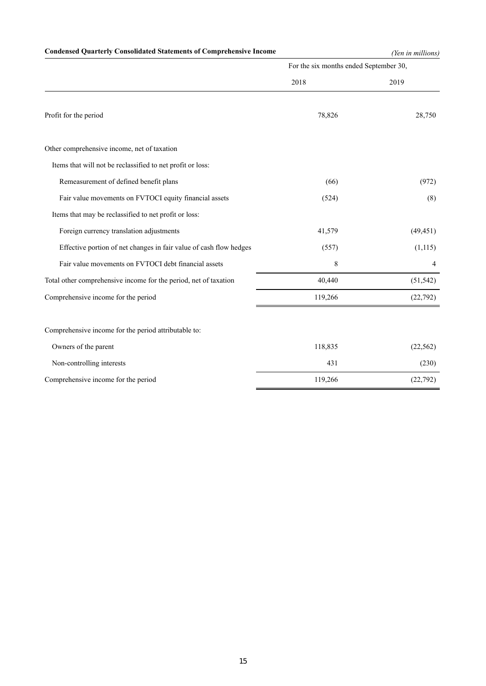# **Condensed Quarterly Consolidated Statements of Comprehensive Income** *(Yen in millions)*

|                                                                    | For the six months ended September 30, |           |  |
|--------------------------------------------------------------------|----------------------------------------|-----------|--|
|                                                                    | 2018                                   | 2019      |  |
| Profit for the period                                              | 78,826                                 | 28,750    |  |
| Other comprehensive income, net of taxation                        |                                        |           |  |
| Items that will not be reclassified to net profit or loss:         |                                        |           |  |
| Remeasurement of defined benefit plans                             | (66)                                   | (972)     |  |
| Fair value movements on FVTOCI equity financial assets             | (524)                                  | (8)       |  |
| Items that may be reclassified to net profit or loss:              |                                        |           |  |
| Foreign currency translation adjustments                           | 41,579                                 | (49, 451) |  |
| Effective portion of net changes in fair value of cash flow hedges | (557)                                  | (1, 115)  |  |
| Fair value movements on FVTOCI debt financial assets               | 8                                      | 4         |  |
| Total other comprehensive income for the period, net of taxation   | 40,440                                 | (51, 542) |  |
| Comprehensive income for the period                                | 119,266                                | (22, 792) |  |
| Comprehensive income for the period attributable to:               |                                        |           |  |
| Owners of the parent                                               | 118,835                                | (22, 562) |  |
| Non-controlling interests                                          | 431                                    | (230)     |  |
| Comprehensive income for the period                                | 119,266                                | (22, 792) |  |
|                                                                    |                                        |           |  |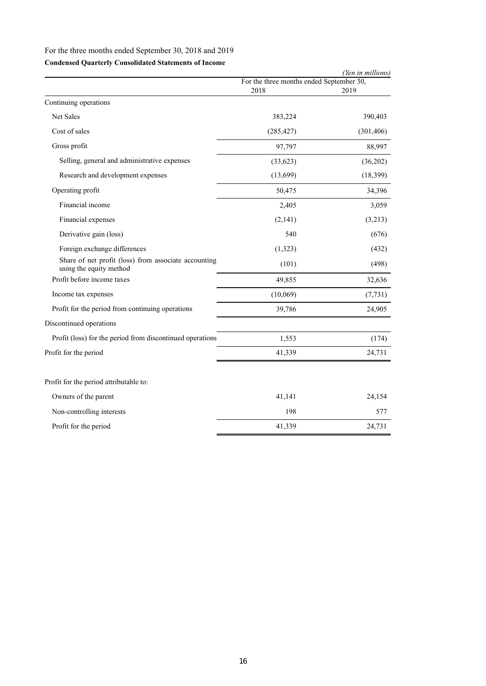# For the three months ended September 30, 2018 and 2019

# **Condensed Quarterly Consolidated Statements of Income**

|            | (Yen in millions)                        |
|------------|------------------------------------------|
| 2018       | 2019                                     |
|            |                                          |
| 383,224    | 390,403                                  |
| (285, 427) | (301, 406)                               |
| 97,797     | 88,997                                   |
| (33, 623)  | (36,202)                                 |
| (13,699)   | (18, 399)                                |
| 50,475     | 34,396                                   |
| 2,405      | 3,059                                    |
| (2,141)    | (3,213)                                  |
| 540        | (676)                                    |
| (1,323)    | (432)                                    |
| (101)      | (498)                                    |
| 49,855     | 32,636                                   |
| (10,069)   | (7, 731)                                 |
| 39,786     | 24,905                                   |
|            |                                          |
| 1,553      | (174)                                    |
| 41,339     | 24,731                                   |
|            |                                          |
| 41,141     | 24,154                                   |
| 198        | 577                                      |
| 41,339     | 24,731                                   |
|            | For the three months ended September 30, |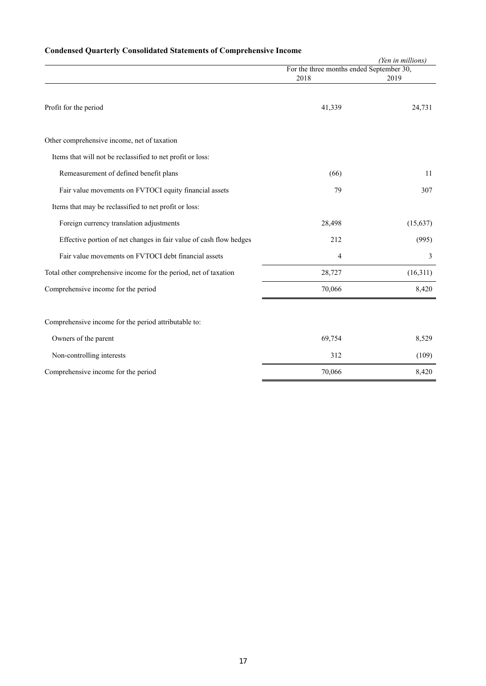# **Condensed Quarterly Consolidated Statements of Comprehensive Income**

|                                                                    |                                          | (Yen in millions) |
|--------------------------------------------------------------------|------------------------------------------|-------------------|
|                                                                    | For the three months ended September 30, |                   |
|                                                                    | 2018                                     | 2019              |
| Profit for the period                                              | 41,339                                   | 24,731            |
| Other comprehensive income, net of taxation                        |                                          |                   |
| Items that will not be reclassified to net profit or loss:         |                                          |                   |
| Remeasurement of defined benefit plans                             | (66)                                     | 11                |
| Fair value movements on FVTOCI equity financial assets             | 79                                       | 307               |
| Items that may be reclassified to net profit or loss:              |                                          |                   |
| Foreign currency translation adjustments                           | 28,498                                   | (15, 637)         |
| Effective portion of net changes in fair value of cash flow hedges | 212                                      | (995)             |
| Fair value movements on FVTOCI debt financial assets               | 4                                        | 3                 |
| Total other comprehensive income for the period, net of taxation   | 28,727                                   | (16,311)          |
| Comprehensive income for the period                                | 70,066                                   | 8,420             |
|                                                                    |                                          |                   |
| Comprehensive income for the period attributable to:               |                                          |                   |
| Owners of the parent                                               | 69,754                                   | 8,529             |
| Non-controlling interests                                          | 312                                      | (109)             |

Comprehensive income for the period 70,066 8,420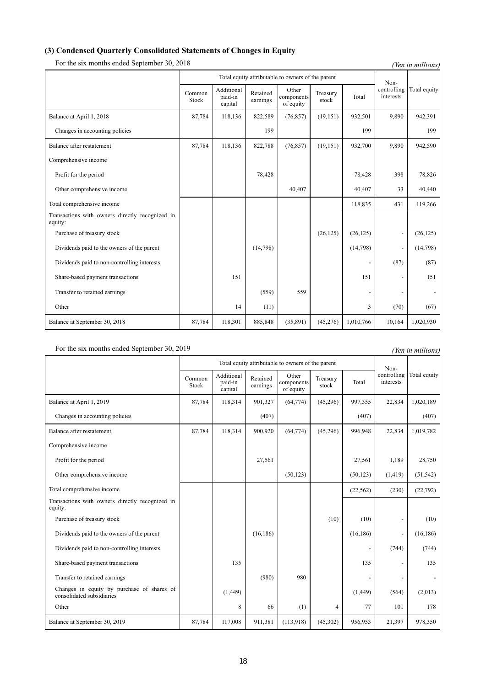# **(3) Condensed Quarterly Consolidated Statements of Changes in Equity**

For the six months ended September 30, 2018 *(Yen in millions)* 

|                                                            |                 | Total equity attributable to owners of the parent |                      |                                  |                   | Non-      |                          |              |
|------------------------------------------------------------|-----------------|---------------------------------------------------|----------------------|----------------------------------|-------------------|-----------|--------------------------|--------------|
|                                                            | Common<br>Stock | Additional<br>paid-in<br>capital                  | Retained<br>earnings | Other<br>components<br>of equity | Treasury<br>stock | Total     | controlling<br>interests | Total equity |
| Balance at April 1, 2018                                   | 87,784          | 118,136                                           | 822,589              | (76, 857)                        | (19, 151)         | 932,501   | 9,890                    | 942,391      |
| Changes in accounting policies                             |                 |                                                   | 199                  |                                  |                   | 199       |                          | 199          |
| Balance after restatement                                  | 87,784          | 118,136                                           | 822,788              | (76, 857)                        | (19, 151)         | 932,700   | 9,890                    | 942,590      |
| Comprehensive income                                       |                 |                                                   |                      |                                  |                   |           |                          |              |
| Profit for the period                                      |                 |                                                   | 78,428               |                                  |                   | 78,428    | 398                      | 78,826       |
| Other comprehensive income                                 |                 |                                                   |                      | 40,407                           |                   | 40,407    | 33                       | 40,440       |
| Total comprehensive income                                 |                 |                                                   |                      |                                  |                   | 118,835   | 431                      | 119,266      |
| Transactions with owners directly recognized in<br>equity: |                 |                                                   |                      |                                  |                   |           |                          |              |
| Purchase of treasury stock                                 |                 |                                                   |                      |                                  | (26, 125)         | (26, 125) | $\overline{a}$           | (26, 125)    |
| Dividends paid to the owners of the parent                 |                 |                                                   | (14,798)             |                                  |                   | (14,798)  | $\overline{a}$           | (14,798)     |
| Dividends paid to non-controlling interests                |                 |                                                   |                      |                                  |                   |           | (87)                     | (87)         |
| Share-based payment transactions                           |                 | 151                                               |                      |                                  |                   | 151       |                          | 151          |
| Transfer to retained earnings                              |                 |                                                   | (559)                | 559                              |                   |           |                          |              |
| Other                                                      |                 | 14                                                | (11)                 |                                  |                   | 3         | (70)                     | (67)         |
| Balance at September 30, 2018                              | 87,784          | 118,301                                           | 885,848              | (35,891)                         | (45,276)          | 1,010,766 | 10,164                   | 1,020,930    |

# For the six months ended September 30, 2019 *(Yen in millions)*

|                                                                         |                 |                                  |                      | Total equity attributable to owners of the parent |                   |           | Non-                     |                          |
|-------------------------------------------------------------------------|-----------------|----------------------------------|----------------------|---------------------------------------------------|-------------------|-----------|--------------------------|--------------------------|
|                                                                         | Common<br>Stock | Additional<br>paid-in<br>capital | Retained<br>earnings | Other<br>components<br>of equity                  | Treasury<br>stock | Total     | controlling<br>interests | Total equity             |
| Balance at April 1, 2019                                                | 87,784          | 118,314                          | 901,327              | (64, 774)                                         | (45,296)          | 997,355   | 22,834                   | 1,020,189                |
| Changes in accounting policies                                          |                 |                                  | (407)                |                                                   |                   | (407)     |                          | (407)                    |
| Balance after restatement                                               | 87,784          | 118,314                          | 900,920              | (64, 774)                                         | (45,296)          | 996,948   | 22,834                   | 1,019,782                |
| Comprehensive income                                                    |                 |                                  |                      |                                                   |                   |           |                          |                          |
| Profit for the period                                                   |                 |                                  | 27,561               |                                                   |                   | 27,561    | 1,189                    | 28,750                   |
| Other comprehensive income                                              |                 |                                  |                      | (50, 123)                                         |                   | (50, 123) | (1, 419)                 | (51, 542)                |
| Total comprehensive income                                              |                 |                                  |                      |                                                   |                   | (22, 562) | (230)                    | (22, 792)                |
| Transactions with owners directly recognized in<br>equity:              |                 |                                  |                      |                                                   |                   |           |                          |                          |
| Purchase of treasury stock                                              |                 |                                  |                      |                                                   | (10)              | (10)      |                          | (10)                     |
| Dividends paid to the owners of the parent                              |                 |                                  | (16, 186)            |                                                   |                   | (16, 186) |                          | (16, 186)                |
| Dividends paid to non-controlling interests                             |                 |                                  |                      |                                                   |                   |           | (744)                    | (744)                    |
| Share-based payment transactions                                        |                 | 135                              |                      |                                                   |                   | 135       |                          | 135                      |
| Transfer to retained earnings                                           |                 |                                  | (980)                | 980                                               |                   |           |                          | $\overline{\phantom{a}}$ |
| Changes in equity by purchase of shares of<br>consolidated subsidiaries |                 | (1, 449)                         |                      |                                                   |                   | (1,449)   | (564)                    | (2,013)                  |
| Other                                                                   |                 | 8                                | 66                   | (1)                                               | 4                 | 77        | 101                      | 178                      |
| Balance at September 30, 2019                                           | 87,784          | 117,008                          | 911,381              | (113,918)                                         | (45,302)          | 956,953   | 21,397                   | 978,350                  |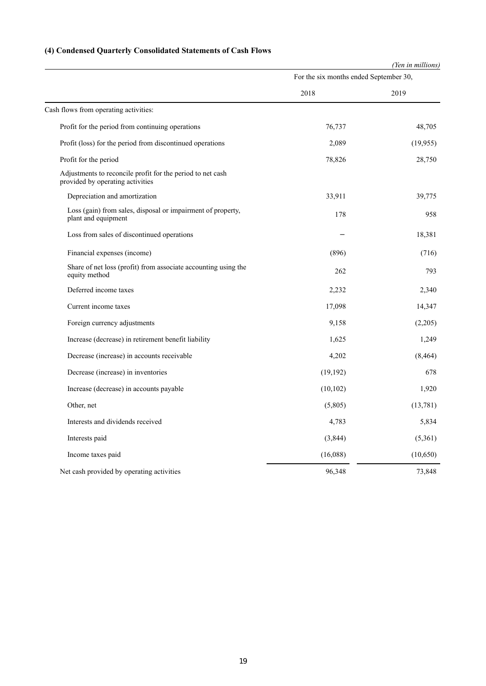# **(4) Condensed Quarterly Consolidated Statements of Cash Flows**

|                                                                                                |                                        | (Yen in millions) |  |
|------------------------------------------------------------------------------------------------|----------------------------------------|-------------------|--|
|                                                                                                | For the six months ended September 30, |                   |  |
|                                                                                                | 2018                                   | 2019              |  |
| Cash flows from operating activities:                                                          |                                        |                   |  |
| Profit for the period from continuing operations                                               | 76,737                                 | 48,705            |  |
| Profit (loss) for the period from discontinued operations                                      | 2,089                                  | (19,955)          |  |
| Profit for the period                                                                          | 78,826                                 | 28,750            |  |
| Adjustments to reconcile profit for the period to net cash<br>provided by operating activities |                                        |                   |  |
| Depreciation and amortization                                                                  | 33,911                                 | 39,775            |  |
| Loss (gain) from sales, disposal or impairment of property,<br>plant and equipment             | 178                                    | 958               |  |
| Loss from sales of discontinued operations                                                     |                                        | 18,381            |  |
| Financial expenses (income)                                                                    | (896)                                  | (716)             |  |
| Share of net loss (profit) from associate accounting using the<br>equity method                | 262                                    | 793               |  |
| Deferred income taxes                                                                          | 2,232                                  | 2,340             |  |
| Current income taxes                                                                           | 17,098                                 | 14,347            |  |
| Foreign currency adjustments                                                                   | 9,158                                  | (2,205)           |  |
| Increase (decrease) in retirement benefit liability                                            | 1,625                                  | 1,249             |  |
| Decrease (increase) in accounts receivable                                                     | 4,202                                  | (8, 464)          |  |
| Decrease (increase) in inventories                                                             | (19, 192)                              | 678               |  |
| Increase (decrease) in accounts payable                                                        | (10, 102)                              | 1,920             |  |
| Other, net                                                                                     | (5,805)                                | (13,781)          |  |
| Interests and dividends received                                                               | 4,783                                  | 5,834             |  |
| Interests paid                                                                                 | (3,844)                                | (5,361)           |  |
| Income taxes paid                                                                              | (16,088)                               | (10, 650)         |  |
| Net cash provided by operating activities                                                      | 96,348                                 | 73,848            |  |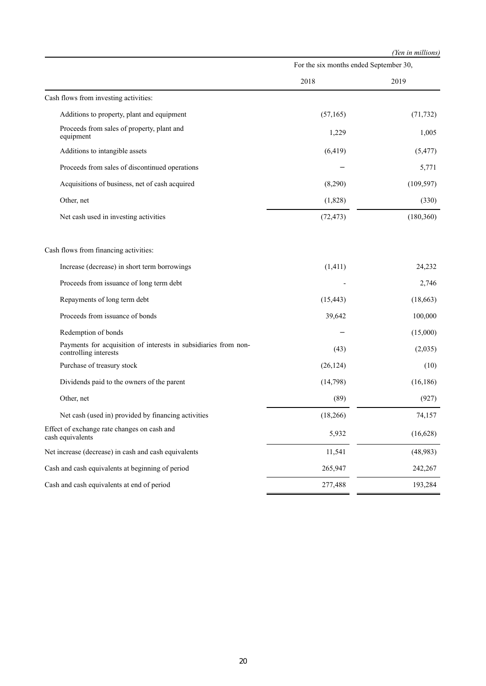|                                                                                          |                                        | (Yen in millions) |  |
|------------------------------------------------------------------------------------------|----------------------------------------|-------------------|--|
|                                                                                          | For the six months ended September 30, |                   |  |
|                                                                                          | 2018                                   | 2019              |  |
| Cash flows from investing activities:                                                    |                                        |                   |  |
| Additions to property, plant and equipment                                               | (57,165)                               | (71, 732)         |  |
| Proceeds from sales of property, plant and<br>equipment                                  | 1,229                                  | 1,005             |  |
| Additions to intangible assets                                                           | (6, 419)                               | (5, 477)          |  |
| Proceeds from sales of discontinued operations                                           |                                        | 5,771             |  |
| Acquisitions of business, net of cash acquired                                           | (8,290)                                | (109, 597)        |  |
| Other, net                                                                               | (1,828)                                | (330)             |  |
| Net cash used in investing activities                                                    | (72, 473)                              | (180, 360)        |  |
| Cash flows from financing activities:                                                    |                                        |                   |  |
| Increase (decrease) in short term borrowings                                             | (1, 411)                               | 24,232            |  |
| Proceeds from issuance of long term debt                                                 |                                        | 2,746             |  |
| Repayments of long term debt                                                             | (15, 443)                              | (18, 663)         |  |
| Proceeds from issuance of bonds                                                          | 39,642                                 | 100,000           |  |
| Redemption of bonds                                                                      |                                        | (15,000)          |  |
| Payments for acquisition of interests in subsidiaries from non-<br>controlling interests | (43)                                   | (2,035)           |  |
| Purchase of treasury stock                                                               | (26, 124)                              | (10)              |  |
| Dividends paid to the owners of the parent                                               | (14,798)                               | (16, 186)         |  |
| Other, net                                                                               | (89)                                   | (927)             |  |
| Net cash (used in) provided by financing activities                                      | (18, 266)                              | 74,157            |  |
| Effect of exchange rate changes on cash and<br>cash equivalents                          | 5,932                                  | (16,628)          |  |
| Net increase (decrease) in cash and cash equivalents                                     | 11,541                                 | (48, 983)         |  |
| Cash and cash equivalents at beginning of period                                         | 265,947                                | 242,267           |  |
| Cash and cash equivalents at end of period                                               | 277,488                                | 193,284           |  |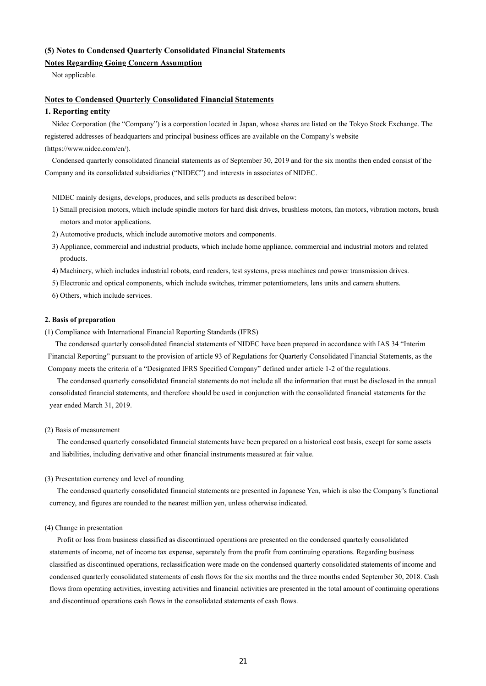## **(5) Notes to Condensed Quarterly Consolidated Financial Statements**

## **Notes Regarding Going Concern Assumption**

Not applicable.

### **Notes to Condensed Quarterly Consolidated Financial Statements**

## **1. Reporting entity**

Nidec Corporation (the "Company") is a corporation located in Japan, whose shares are listed on the Tokyo Stock Exchange. The registered addresses of headquarters and principal business offices are available on the Company's website (https://www.nidec.com/en/).

Condensed quarterly consolidated financial statements as of September 30, 2019 and for the six months then ended consist of the Company and its consolidated subsidiaries ("NIDEC") and interests in associates of NIDEC.

NIDEC mainly designs, develops, produces, and sells products as described below:

- 1) Small precision motors, which include spindle motors for hard disk drives, brushless motors, fan motors, vibration motors, brush motors and motor applications.
- 2) Automotive products, which include automotive motors and components.
- 3) Appliance, commercial and industrial products, which include home appliance, commercial and industrial motors and related products.
- 4) Machinery, which includes industrial robots, card readers, test systems, press machines and power transmission drives.
- 5) Electronic and optical components, which include switches, trimmer potentiometers, lens units and camera shutters.
- 6) Others, which include services.

#### **2. Basis of preparation**

(1) Compliance with International Financial Reporting Standards (IFRS)

The condensed quarterly consolidated financial statements of NIDEC have been prepared in accordance with IAS 34 "Interim Financial Reporting" pursuant to the provision of article 93 of Regulations for Quarterly Consolidated Financial Statements, as the Company meets the criteria of a "Designated IFRS Specified Company" defined under article 1-2 of the regulations.

The condensed quarterly consolidated financial statements do not include all the information that must be disclosed in the annual consolidated financial statements, and therefore should be used in conjunction with the consolidated financial statements for the year ended March 31, 2019.

#### (2) Basis of measurement

The condensed quarterly consolidated financial statements have been prepared on a historical cost basis, except for some assets and liabilities, including derivative and other financial instruments measured at fair value.

#### (3) Presentation currency and level of rounding

The condensed quarterly consolidated financial statements are presented in Japanese Yen, which is also the Company's functional currency, and figures are rounded to the nearest million yen, unless otherwise indicated.

#### (4) Change in presentation

Profit or loss from business classified as discontinued operations are presented on the condensed quarterly consolidated statements of income, net of income tax expense, separately from the profit from continuing operations. Regarding business classified as discontinued operations, reclassification were made on the condensed quarterly consolidated statements of income and condensed quarterly consolidated statements of cash flows for the six months and the three months ended September 30, 2018. Cash flows from operating activities, investing activities and financial activities are presented in the total amount of continuing operations and discontinued operations cash flows in the consolidated statements of cash flows.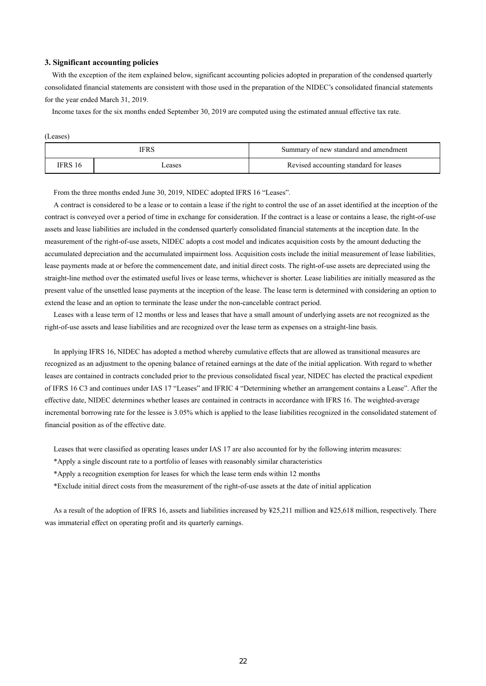### **3. Significant accounting policies**

With the exception of the item explained below, significant accounting policies adopted in preparation of the condensed quarterly consolidated financial statements are consistent with those used in the preparation of the NIDEC's consolidated financial statements for the year ended March 31, 2019.

Income taxes for the six months ended September 30, 2019 are computed using the estimated annual effective tax rate.

|--|--|

| IFRS   |       | Summary of new standard and amendment  |
|--------|-------|----------------------------------------|
| FRS 16 | cases | Revised accounting standard for leases |

From the three months ended June 30, 2019, NIDEC adopted IFRS 16 "Leases".

A contract is considered to be a lease or to contain a lease if the right to control the use of an asset identified at the inception of the contract is conveyed over a period of time in exchange for consideration. If the contract is a lease or contains a lease, the right-of-use assets and lease liabilities are included in the condensed quarterly consolidated financial statements at the inception date. In the measurement of the right-of-use assets, NIDEC adopts a cost model and indicates acquisition costs by the amount deducting the accumulated depreciation and the accumulated impairment loss. Acquisition costs include the initial measurement of lease liabilities, lease payments made at or before the commencement date, and initial direct costs. The right-of-use assets are depreciated using the straight-line method over the estimated useful lives or lease terms, whichever is shorter. Lease liabilities are initially measured as the present value of the unsettled lease payments at the inception of the lease. The lease term is determined with considering an option to extend the lease and an option to terminate the lease under the non-cancelable contract period.

Leases with a lease term of 12 months or less and leases that have a small amount of underlying assets are not recognized as the right-of-use assets and lease liabilities and are recognized over the lease term as expenses on a straight-line basis.

In applying IFRS 16, NIDEC has adopted a method whereby cumulative effects that are allowed as transitional measures are recognized as an adjustment to the opening balance of retained earnings at the date of the initial application. With regard to whether leases are contained in contracts concluded prior to the previous consolidated fiscal year, NIDEC has elected the practical expedient of IFRS 16 C3 and continues under IAS 17 "Leases" and IFRIC 4 "Determining whether an arrangement contains a Lease". After the effective date, NIDEC determines whether leases are contained in contracts in accordance with IFRS 16. The weighted-average incremental borrowing rate for the lessee is 3.05% which is applied to the lease liabilities recognized in the consolidated statement of financial position as of the effective date.

Leases that were classified as operating leases under IAS 17 are also accounted for by the following interim measures:

\*Apply a single discount rate to a portfolio of leases with reasonably similar characteristics

\*Apply a recognition exemption for leases for which the lease term ends within 12 months

\*Exclude initial direct costs from the measurement of the right-of-use assets at the date of initial application

As a result of the adoption of IFRS 16, assets and liabilities increased by ¥25,211 million and ¥25,618 million, respectively. There was immaterial effect on operating profit and its quarterly earnings.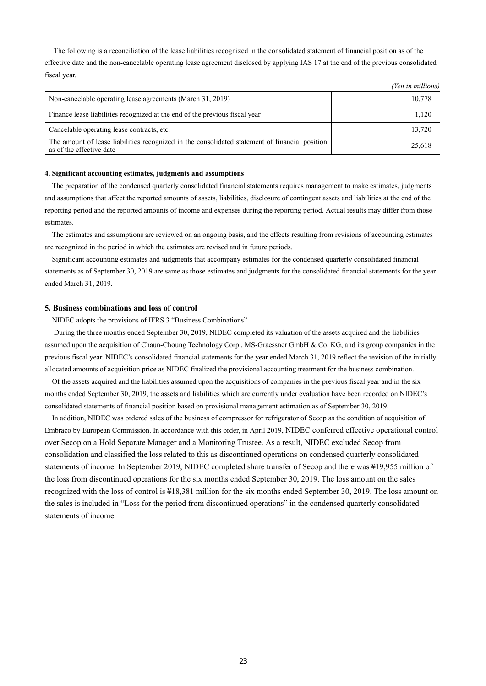The following is a reconciliation of the lease liabilities recognized in the consolidated statement of financial position as of the effective date and the non-cancelable operating lease agreement disclosed by applying IAS 17 at the end of the previous consolidated fiscal year.

*(Yen in millions)*

|                                                                                                                            | $1 \vee \cdots \vee \vee \vee \vee \vee \vee \vee \vee \vee$ |
|----------------------------------------------------------------------------------------------------------------------------|--------------------------------------------------------------|
| Non-cancelable operating lease agreements (March 31, 2019)                                                                 | 10,778                                                       |
| Finance lease liabilities recognized at the end of the previous fiscal year                                                | 1.120                                                        |
| Cancelable operating lease contracts, etc.                                                                                 | 13,720                                                       |
| The amount of lease liabilities recognized in the consolidated statement of financial position<br>as of the effective date | 25,618                                                       |

### **4. Significant accounting estimates, judgments and assumptions**

The preparation of the condensed quarterly consolidated financial statements requires management to make estimates, judgments and assumptions that affect the reported amounts of assets, liabilities, disclosure of contingent assets and liabilities at the end of the reporting period and the reported amounts of income and expenses during the reporting period. Actual results may differ from those estimates.

The estimates and assumptions are reviewed on an ongoing basis, and the effects resulting from revisions of accounting estimates are recognized in the period in which the estimates are revised and in future periods.

Significant accounting estimates and judgments that accompany estimates for the condensed quarterly consolidated financial statements as of September 30, 2019 are same as those estimates and judgments for the consolidated financial statements for the year ended March 31, 2019.

#### **5. Business combinations and loss of control**

NIDEC adopts the provisions of IFRS 3 "Business Combinations".

 During the three months ended September 30, 2019, NIDEC completed its valuation of the assets acquired and the liabilities assumed upon the acquisition of Chaun-Choung Technology Corp., MS-Graessner GmbH & Co. KG, and its group companies in the previous fiscal year. NIDEC's consolidated financial statements for the year ended March 31, 2019 reflect the revision of the initially allocated amounts of acquisition price as NIDEC finalized the provisional accounting treatment for the business combination.

Of the assets acquired and the liabilities assumed upon the acquisitions of companies in the previous fiscal year and in the six months ended September 30, 2019, the assets and liabilities which are currently under evaluation have been recorded on NIDEC's consolidated statements of financial position based on provisional management estimation as of September 30, 2019.

In addition, NIDEC was ordered sales of the business of compressor for refrigerator of Secop as the condition of acquisition of Embraco by European Commission. In accordance with this order, in April 2019, NIDEC conferred effective operational control over Secop on a Hold Separate Manager and a Monitoring Trustee. As a result, NIDEC excluded Secop from consolidation and classified the loss related to this as discontinued operations on condensed quarterly consolidated statements of income. In September 2019, NIDEC completed share transfer of Secop and there was ¥19,955 million of the loss from discontinued operations for the six months ended September 30, 2019. The loss amount on the sales recognized with the loss of control is ¥18,381 million for the six months ended September 30, 2019. The loss amount on the sales is included in "Loss for the period from discontinued operations" in the condensed quarterly consolidated statements of income.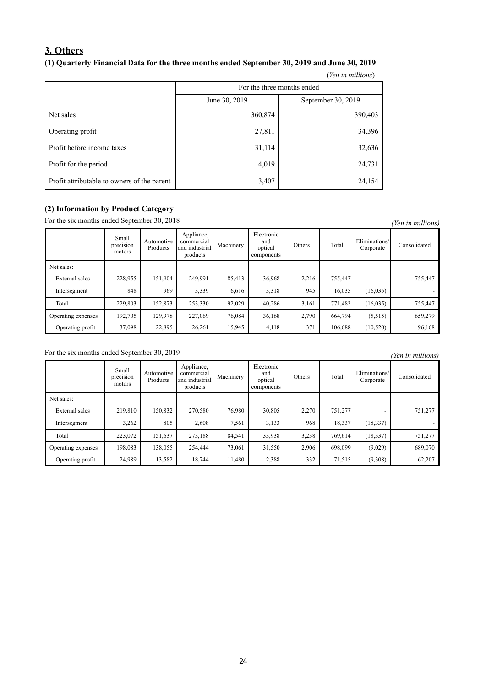# **3. Others**

# **(1) Quarterly Financial Data for the three months ended September 30, 2019 and June 30, 2019**

|                                             |                            | (Yen in millions)  |  |  |  |  |  |
|---------------------------------------------|----------------------------|--------------------|--|--|--|--|--|
|                                             | For the three months ended |                    |  |  |  |  |  |
|                                             | June 30, 2019              | September 30, 2019 |  |  |  |  |  |
| Net sales                                   | 360,874                    | 390,403            |  |  |  |  |  |
| Operating profit                            | 27,811                     | 34,396             |  |  |  |  |  |
| Profit before income taxes                  | 31,114                     | 32,636             |  |  |  |  |  |
| Profit for the period                       | 4,019                      | 24,731             |  |  |  |  |  |
| Profit attributable to owners of the parent | 3,407                      | 24,154             |  |  |  |  |  |

## **(2) Information by Product Category**

For the six months ended September 30, 2018 *(Yen in millions)* 

|                    | Small<br>$\cdot$ $\cdot$<br>precision<br>motors | Automotive<br>Products | Appliance,<br>commercial<br>and industrial<br>products | Machinery | Electronic<br>and<br>optical<br>components | Others | Total   | Eliminations/<br>Corporate | Consolidated |
|--------------------|-------------------------------------------------|------------------------|--------------------------------------------------------|-----------|--------------------------------------------|--------|---------|----------------------------|--------------|
| Net sales:         |                                                 |                        |                                                        |           |                                            |        |         |                            |              |
| External sales     | 228,955                                         | 151,904                | 249,991                                                | 85,413    | 36,968                                     | 2,216  | 755,447 |                            | 755,447      |
| Intersegment       | 848                                             | 969                    | 3,339                                                  | 6,616     | 3,318                                      | 945    | 16,035  | (16,035)                   |              |
| Total              | 229,803                                         | 152,873                | 253,330                                                | 92,029    | 40,286                                     | 3,161  | 771,482 | (16,035)                   | 755,447      |
| Operating expenses | 192,705                                         | 129,978                | 227,069                                                | 76,084    | 36,168                                     | 2,790  | 664,794 | (5,515)                    | 659,279      |
| Operating profit   | 37,098                                          | 22,895                 | 26,261                                                 | 15,945    | 4,118                                      | 371    | 106.688 | (10,520)                   | 96,168       |

For the six months ended September 30, 2019 *(Yen in millions)* 

|                    | Small<br>precision<br>motors | Automotive<br>Products | Appliance,<br>commercial<br>and industrial<br>products | Machinery | Electronic<br>and<br>optical<br>components | Others | Total   | Eliminations/<br>Corporate | Consolidated |
|--------------------|------------------------------|------------------------|--------------------------------------------------------|-----------|--------------------------------------------|--------|---------|----------------------------|--------------|
| Net sales:         |                              |                        |                                                        |           |                                            |        |         |                            |              |
| External sales     | 219,810                      | 150,832                | 270,580                                                | 76,980    | 30,805                                     | 2,270  | 751,277 |                            | 751,277      |
| Intersegment       | 3,262                        | 805                    | 2,608                                                  | 7,561     | 3,133                                      | 968    | 18,337  | (18, 337)                  |              |
| Total              | 223,072                      | 151,637                | 273,188                                                | 84,541    | 33,938                                     | 3,238  | 769,614 | (18, 337)                  | 751,277      |
| Operating expenses | 198,083                      | 138,055                | 254,444                                                | 73,061    | 31,550                                     | 2,906  | 698,099 | (9,029)                    | 689,070      |
| Operating profit   | 24,989                       | 13,582                 | 18,744                                                 | 11,480    | 2,388                                      | 332    | 71,515  | (9,308)                    | 62,207       |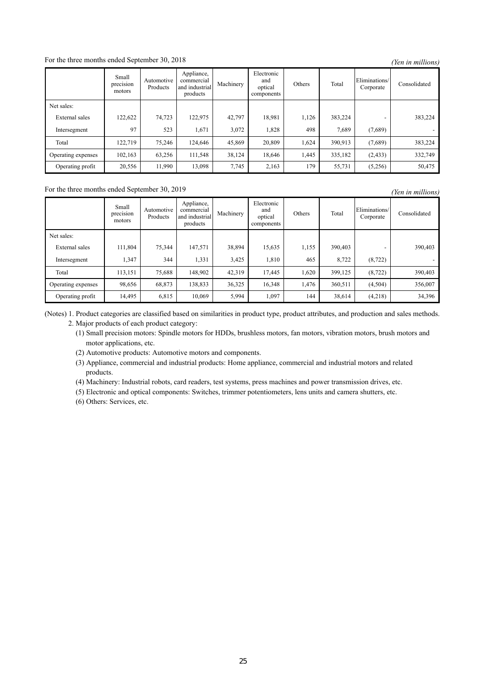## For the three months ended September 30, 2018 *(Yen in millions)*

|                    | Small<br>precision<br>motors | Automotive<br>Products | Appliance,<br>commercial<br>and industrial<br>products | Machinery | Electronic<br>and<br>optical<br>components | Others | Total   | Eliminations/<br>Corporate | Consolidated |
|--------------------|------------------------------|------------------------|--------------------------------------------------------|-----------|--------------------------------------------|--------|---------|----------------------------|--------------|
| Net sales:         |                              |                        |                                                        |           |                                            |        |         |                            |              |
| External sales     | 122,622                      | 74,723                 | 122,975                                                | 42,797    | 18,981                                     | 1,126  | 383,224 |                            | 383,224      |
| Intersegment       | 97                           | 523                    | 1,671                                                  | 3.072     | 1,828                                      | 498    | 7.689   | (7,689)                    |              |
| Total              | 122,719                      | 75.246                 | 124,646                                                | 45,869    | 20,809                                     | 1,624  | 390.913 | (7,689)                    | 383,224      |
| Operating expenses | 102,163                      | 63,256                 | 111,548                                                | 38,124    | 18,646                                     | 1,445  | 335,182 | (2, 433)                   | 332,749      |
| Operating profit   | 20,556                       | 11,990                 | 13,098                                                 | 7,745     | 2,163                                      | 179    | 55,731  | (5,256)                    | 50,475       |

# For the three months ended September 30, 2019 *(Yen in millions)*

Small precision motors Automotive Products Appliance, commercial and industrial products Machinery Electronic and optical components Others Total Eliminations/ Corporate Consolidated Net sales: External sales 111,804 75,344 147,571 38,894 15,635 1,155 390,403 - 390,403 Intersegment 1,347 344 1,331 3,425 1,810 465 8,722 (8,722) Total 113,151 75,688 148,902 42,319 17,445 1,620 399,125 (8,722) 390,403 Operating expenses 98,656 68,873 138,833 36,325 16,348 1,476 360,511 (4,504) 356,007 Operating profit 14,495 6,815 10,069 5,994 1,097 144 38,614 (4,218) 34,396

(Notes) 1. Product categories are classified based on similarities in product type, product attributes, and production and sales methods. 2. Major products of each product category:

(1) Small precision motors: Spindle motors for HDDs, brushless motors, fan motors, vibration motors, brush motors and motor applications, etc.

(2) Automotive products: Automotive motors and components.

(3) Appliance, commercial and industrial products: Home appliance, commercial and industrial motors and related products.

(4) Machinery: Industrial robots, card readers, test systems, press machines and power transmission drives, etc.

(5) Electronic and optical components: Switches, trimmer potentiometers, lens units and camera shutters, etc.

(6) Others: Services, etc.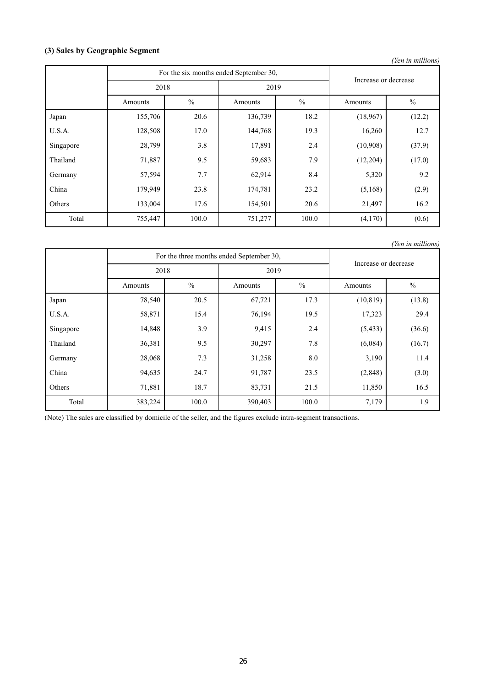# **(3) Sales by Geographic Segment**

| (Yen in millions) |                                        |               |         |               |                      |               |  |  |  |  |
|-------------------|----------------------------------------|---------------|---------|---------------|----------------------|---------------|--|--|--|--|
|                   | For the six months ended September 30, |               |         |               |                      |               |  |  |  |  |
|                   | 2018                                   |               | 2019    |               | Increase or decrease |               |  |  |  |  |
|                   | Amounts                                | $\frac{0}{0}$ | Amounts | $\frac{0}{0}$ | Amounts              | $\frac{0}{0}$ |  |  |  |  |
| Japan             | 155,706                                | 20.6          | 136,739 | 18.2          | (18,967)             | (12.2)        |  |  |  |  |
| U.S.A.            | 128,508                                | 17.0          | 144,768 | 19.3          | 16,260               | 12.7          |  |  |  |  |
| Singapore         | 28,799                                 | 3.8           | 17,891  | 2.4           | (10,908)             | (37.9)        |  |  |  |  |
| Thailand          | 71,887                                 | 9.5           | 59,683  | 7.9           | (12,204)             | (17.0)        |  |  |  |  |
| Germany           | 57,594                                 | 7.7           | 62,914  | 8.4           | 5,320                | 9.2           |  |  |  |  |
| China             | 179,949                                | 23.8          | 174,781 | 23.2          | (5,168)              | (2.9)         |  |  |  |  |
| Others            | 133,004                                | 17.6          | 154,501 | 20.6          | 21,497               | 16.2          |  |  |  |  |
| Total             | 755,447                                | 100.0         | 751,277 | 100.0         | (4,170)              | (0.6)         |  |  |  |  |

*(Yen in millions)*

|           |         | For the three months ended September 30, | Increase or decrease     |       |           |               |  |
|-----------|---------|------------------------------------------|--------------------------|-------|-----------|---------------|--|
|           | 2018    |                                          | 2019                     |       |           |               |  |
|           | Amounts | $\frac{0}{0}$                            | $\frac{0}{0}$<br>Amounts |       | Amounts   | $\frac{0}{0}$ |  |
| Japan     | 78,540  | 20.5                                     | 67,721                   | 17.3  | (10, 819) | (13.8)        |  |
| U.S.A.    | 58,871  | 15.4                                     | 76,194                   | 19.5  | 17,323    | 29.4          |  |
| Singapore | 14,848  | 3.9                                      | 9,415                    | 2.4   | (5, 433)  | (36.6)        |  |
| Thailand  | 36,381  | 9.5                                      | 30,297                   | 7.8   | (6,084)   | (16.7)        |  |
| Germany   | 28,068  | 7.3                                      | 31,258                   | 8.0   | 3,190     | 11.4          |  |
| China     | 94,635  | 24.7                                     | 91,787                   | 23.5  | (2,848)   | (3.0)         |  |
| Others    | 71,881  | 18.7                                     | 83,731                   | 21.5  | 11,850    | 16.5          |  |
| Total     | 383,224 | 100.0                                    | 390,403                  | 100.0 | 7,179     | 1.9           |  |

(Note) The sales are classified by domicile of the seller, and the figures exclude intra-segment transactions.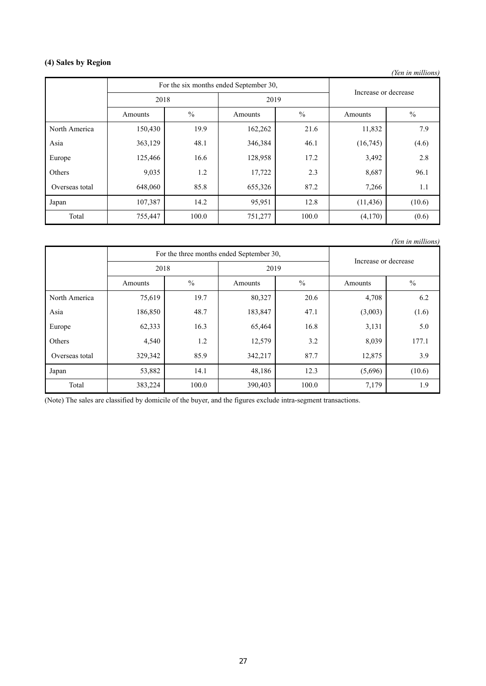# **(4) Sales by Region**

*(Yen in millions)*

|                |         | For the six months ended September 30, |         | Increase or decrease |           |               |  |
|----------------|---------|----------------------------------------|---------|----------------------|-----------|---------------|--|
|                | 2018    |                                        | 2019    |                      |           |               |  |
|                | Amounts | $\%$                                   | Amounts | $\frac{0}{0}$        |           | $\frac{0}{0}$ |  |
| North America  | 150,430 | 19.9                                   | 162,262 | 21.6                 | 11,832    | 7.9           |  |
| Asia           | 363,129 | 48.1                                   | 346,384 | 46.1                 | (16,745)  | (4.6)         |  |
| Europe         | 125,466 | 16.6                                   | 128,958 | 17.2                 | 3,492     | 2.8           |  |
| Others         | 9,035   | 1.2                                    | 17,722  | 2.3                  | 8,687     | 96.1          |  |
| Overseas total | 648,060 | 85.8                                   | 655,326 | 87.2                 | 7,266     | 1.1           |  |
| Japan          | 107,387 | 14.2                                   | 95,951  | 12.8                 | (11, 436) | (10.6)        |  |
| Total          | 755,447 | 100.0                                  | 751,277 | 100.0                | (4,170)   | (0.6)         |  |

*(Yen in millions)*

|                |         | For the three months ended September 30, | Increase or decrease     |       |         |               |  |
|----------------|---------|------------------------------------------|--------------------------|-------|---------|---------------|--|
|                | 2018    |                                          | 2019                     |       |         |               |  |
|                | Amounts | $\frac{0}{0}$                            | $\frac{0}{0}$<br>Amounts |       | Amounts | $\frac{0}{0}$ |  |
| North America  | 75,619  | 19.7                                     | 80,327                   | 20.6  | 4,708   | 6.2           |  |
| Asia           | 186,850 | 48.7                                     | 183,847                  | 47.1  | (3,003) | (1.6)         |  |
| Europe         | 62,333  | 16.3                                     | 65,464                   | 16.8  | 3,131   | 5.0           |  |
| Others         | 4,540   | 1.2                                      | 12,579                   | 3.2   | 8,039   | 177.1         |  |
| Overseas total | 329,342 | 85.9                                     | 342,217                  | 87.7  | 12,875  | 3.9           |  |
| Japan          | 53,882  | 14.1                                     | 48,186                   | 12.3  | (5,696) | (10.6)        |  |
| Total          | 383,224 | 100.0                                    | 390,403                  | 100.0 | 7,179   | 1.9           |  |

(Note) The sales are classified by domicile of the buyer, and the figures exclude intra-segment transactions.